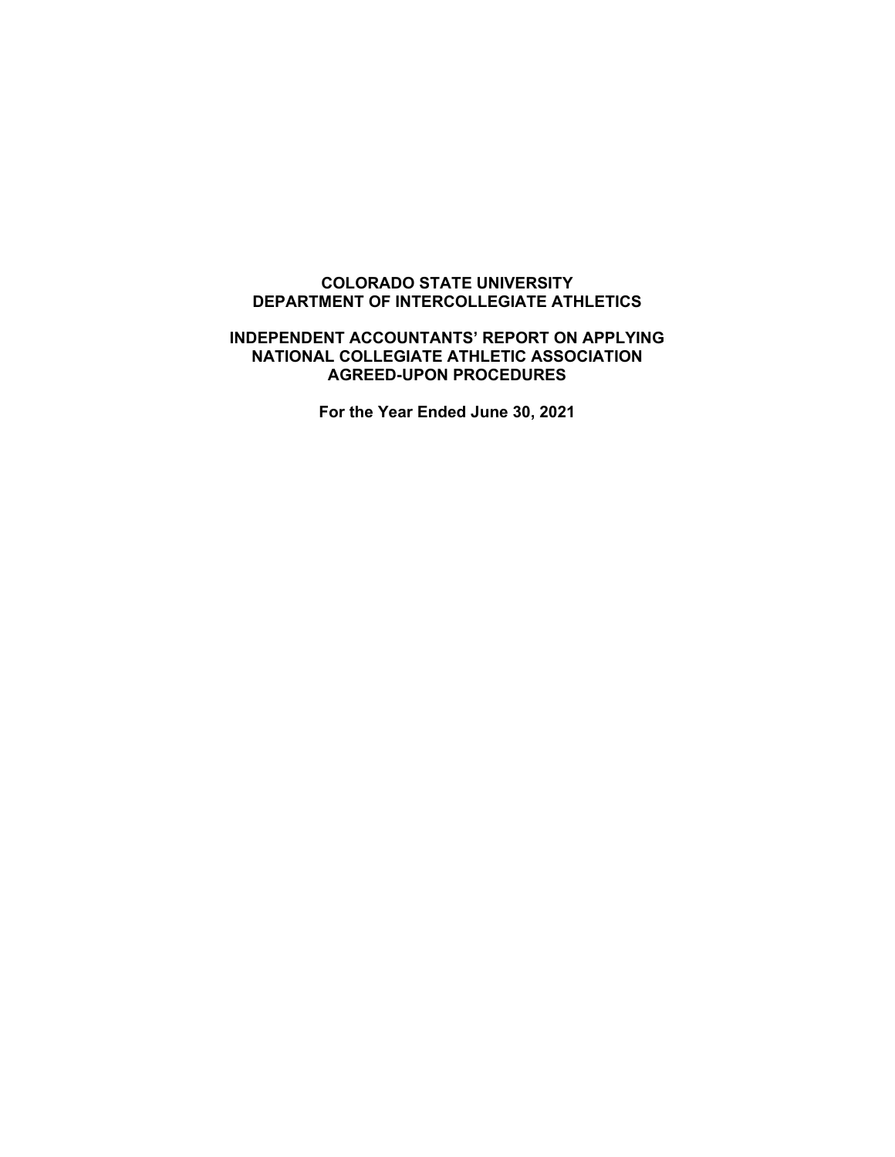## **COLORADO STATE UNIVERSITY DEPARTMENT OF INTERCOLLEGIATE ATHLETICS**

## **INDEPENDENT ACCOUNTANTS' REPORT ON APPLYING NATIONAL COLLEGIATE ATHLETIC ASSOCIATION AGREED-UPON PROCEDURES**

**For the Year Ended June 30, 2021**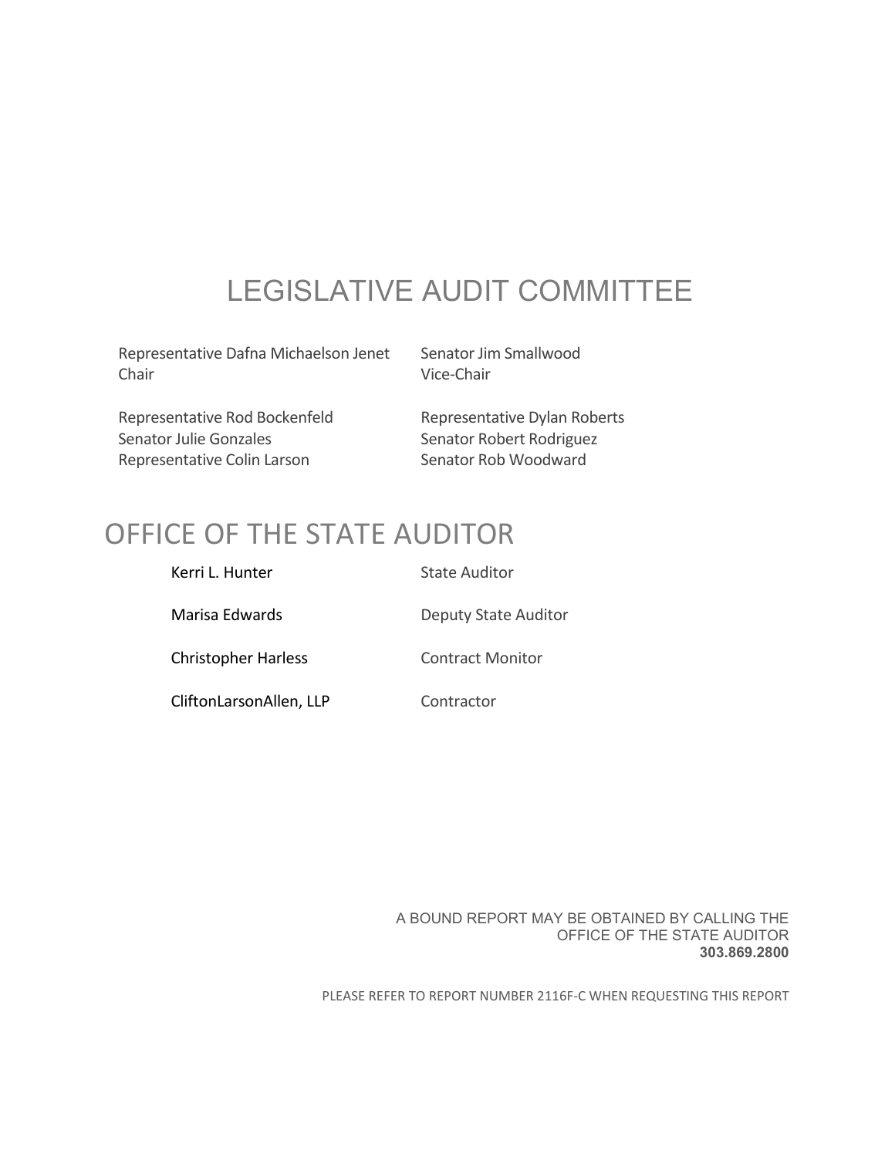# LEGISLATIVE AUDIT COMMITTEE

Representative Dafna Michaelson Jenet Senator Jim Smallwood Chair Vice-Chair

Representative Rod Bockenfeld Representative Dylan Roberts Senator Julie Gonzales Senator Robert Rodriguez Representative Colin Larson Senator Rob Woodward

# OFFICE OF THE STATE AUDITOR

| Kerri L. Hunter            | <b>State Auditor</b>        |
|----------------------------|-----------------------------|
| Marisa Edwards             | <b>Deputy State Auditor</b> |
| <b>Christopher Harless</b> | <b>Contract Monitor</b>     |
| CliftonLarsonAllen, LLP    | Contractor                  |

A BOUND REPORT MAY BE OBTAINED BY CALLING THE OFFICE OF THE STATE AUDITOR **303.869.2800**

PLEASE REFER TO REPORT NUMBER 2116F‐C WHEN REQUESTING THIS REPORT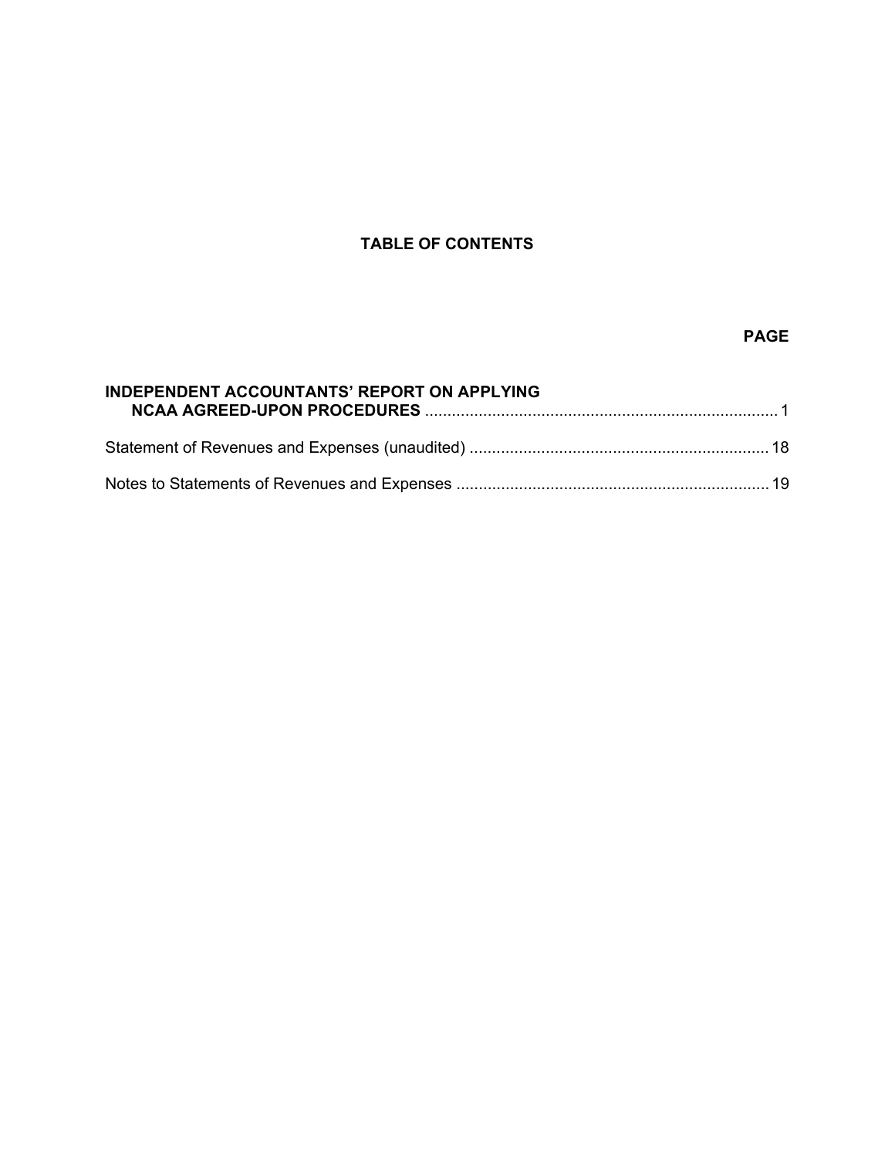# **TABLE OF CONTENTS**

# **PAGE**

| <b>INDEPENDENT ACCOUNTANTS' REPORT ON APPLYING</b> |  |
|----------------------------------------------------|--|
|                                                    |  |
|                                                    |  |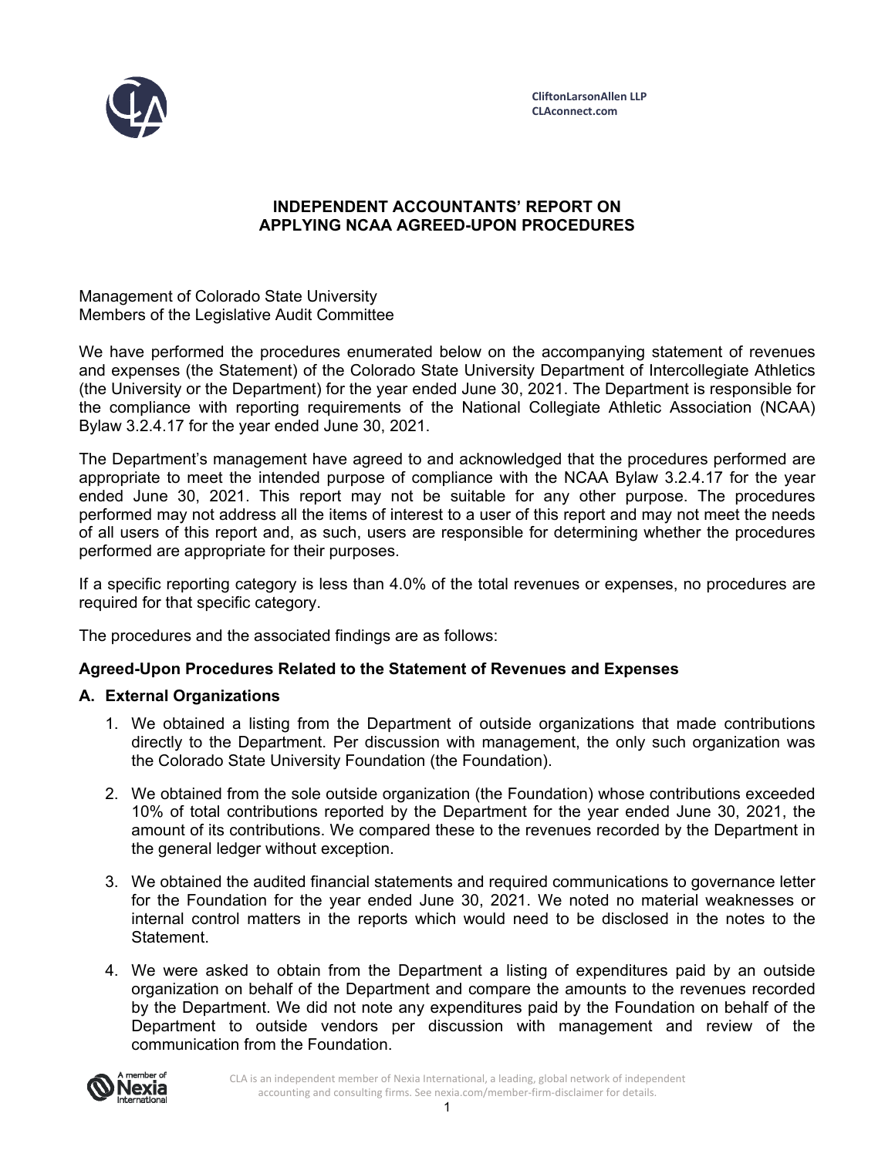

## **INDEPENDENT ACCOUNTANTS' REPORT ON APPLYING NCAA AGREED-UPON PROCEDURES**

Management of Colorado State University Members of the Legislative Audit Committee

We have performed the procedures enumerated below on the accompanying statement of revenues and expenses (the Statement) of the Colorado State University Department of Intercollegiate Athletics (the University or the Department) for the year ended June 30, 2021. The Department is responsible for the compliance with reporting requirements of the National Collegiate Athletic Association (NCAA) Bylaw 3.2.4.17 for the year ended June 30, 2021.

The Department's management have agreed to and acknowledged that the procedures performed are appropriate to meet the intended purpose of compliance with the NCAA Bylaw 3.2.4.17 for the year ended June 30, 2021. This report may not be suitable for any other purpose. The procedures performed may not address all the items of interest to a user of this report and may not meet the needs of all users of this report and, as such, users are responsible for determining whether the procedures performed are appropriate for their purposes.

If a specific reporting category is less than 4.0% of the total revenues or expenses, no procedures are required for that specific category.

The procedures and the associated findings are as follows:

## **Agreed-Upon Procedures Related to the Statement of Revenues and Expenses**

## **A. External Organizations**

- 1. We obtained a listing from the Department of outside organizations that made contributions directly to the Department. Per discussion with management, the only such organization was the Colorado State University Foundation (the Foundation).
- 2. We obtained from the sole outside organization (the Foundation) whose contributions exceeded 10% of total contributions reported by the Department for the year ended June 30, 2021, the amount of its contributions. We compared these to the revenues recorded by the Department in the general ledger without exception.
- 3. We obtained the audited financial statements and required communications to governance letter for the Foundation for the year ended June 30, 2021. We noted no material weaknesses or internal control matters in the reports which would need to be disclosed in the notes to the Statement.
- 4. We were asked to obtain from the Department a listing of expenditures paid by an outside organization on behalf of the Department and compare the amounts to the revenues recorded by the Department. We did not note any expenditures paid by the Foundation on behalf of the Department to outside vendors per discussion with management and review of the communication from the Foundation.

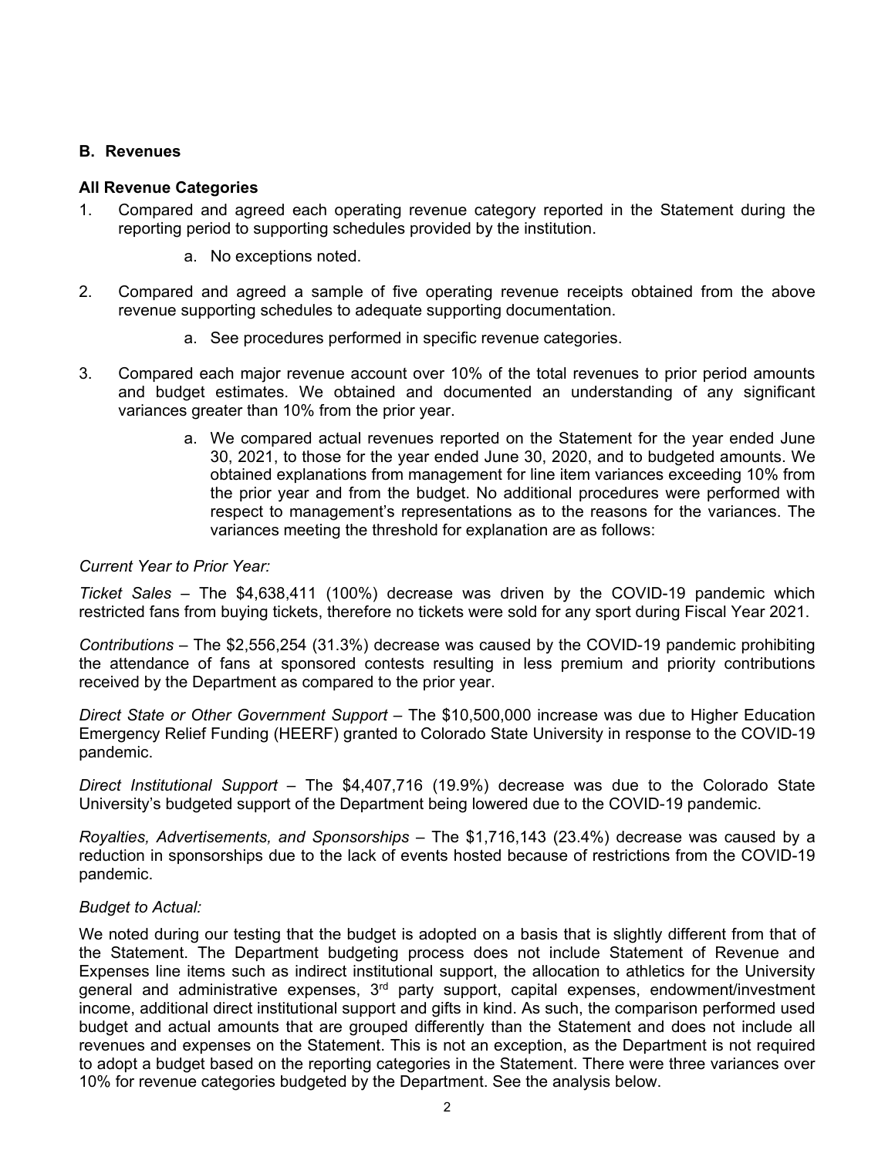#### **B. Revenues**

#### **All Revenue Categories**

- 1. Compared and agreed each operating revenue category reported in the Statement during the reporting period to supporting schedules provided by the institution.
	- a. No exceptions noted.
- 2. Compared and agreed a sample of five operating revenue receipts obtained from the above revenue supporting schedules to adequate supporting documentation.
	- a. See procedures performed in specific revenue categories.
- 3. Compared each major revenue account over 10% of the total revenues to prior period amounts and budget estimates. We obtained and documented an understanding of any significant variances greater than 10% from the prior year.
	- a. We compared actual revenues reported on the Statement for the year ended June 30, 2021, to those for the year ended June 30, 2020, and to budgeted amounts. We obtained explanations from management for line item variances exceeding 10% from the prior year and from the budget. No additional procedures were performed with respect to management's representations as to the reasons for the variances. The variances meeting the threshold for explanation are as follows:

#### *Current Year to Prior Year:*

*Ticket Sales* – The \$4,638,411 (100%) decrease was driven by the COVID-19 pandemic which restricted fans from buying tickets, therefore no tickets were sold for any sport during Fiscal Year 2021.

*Contributions* – The \$2,556,254 (31.3%) decrease was caused by the COVID-19 pandemic prohibiting the attendance of fans at sponsored contests resulting in less premium and priority contributions received by the Department as compared to the prior year.

*Direct State or Other Government Support* – The \$10,500,000 increase was due to Higher Education Emergency Relief Funding (HEERF) granted to Colorado State University in response to the COVID-19 pandemic.

*Direct Institutional Support* – The \$4,407,716 (19.9%) decrease was due to the Colorado State University's budgeted support of the Department being lowered due to the COVID-19 pandemic.

*Royalties, Advertisements, and Sponsorships* – The \$1,716,143 (23.4%) decrease was caused by a reduction in sponsorships due to the lack of events hosted because of restrictions from the COVID-19 pandemic.

## *Budget to Actual:*

We noted during our testing that the budget is adopted on a basis that is slightly different from that of the Statement. The Department budgeting process does not include Statement of Revenue and Expenses line items such as indirect institutional support, the allocation to athletics for the University general and administrative expenses, 3<sup>rd</sup> party support, capital expenses, endowment/investment income, additional direct institutional support and gifts in kind. As such, the comparison performed used budget and actual amounts that are grouped differently than the Statement and does not include all revenues and expenses on the Statement. This is not an exception, as the Department is not required to adopt a budget based on the reporting categories in the Statement. There were three variances over 10% for revenue categories budgeted by the Department. See the analysis below.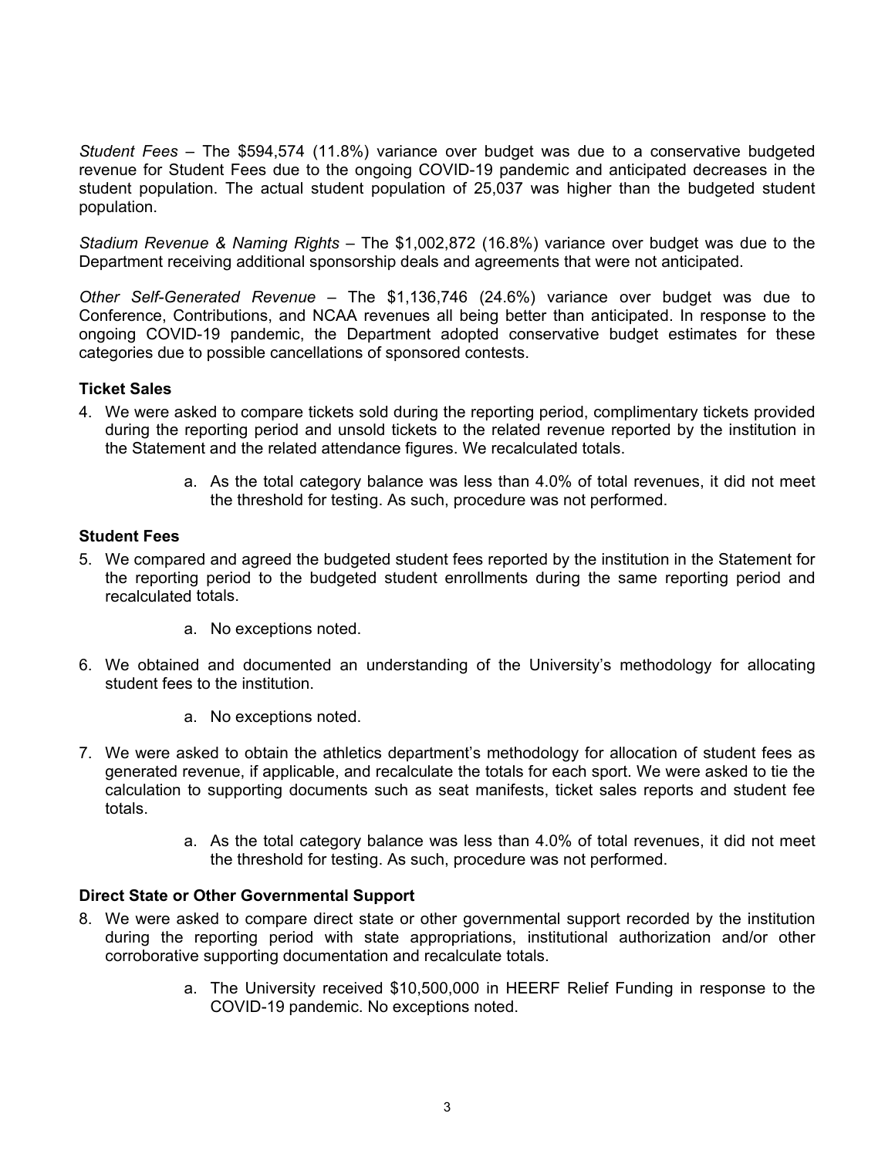*Student Fees* – The \$594,574 (11.8%) variance over budget was due to a conservative budgeted revenue for Student Fees due to the ongoing COVID-19 pandemic and anticipated decreases in the student population. The actual student population of 25,037 was higher than the budgeted student population.

*Stadium Revenue & Naming Rights* – The \$1,002,872 (16.8%) variance over budget was due to the Department receiving additional sponsorship deals and agreements that were not anticipated.

*Other Self-Generated Revenue* – The \$1,136,746 (24.6%) variance over budget was due to Conference, Contributions, and NCAA revenues all being better than anticipated. In response to the ongoing COVID-19 pandemic, the Department adopted conservative budget estimates for these categories due to possible cancellations of sponsored contests.

## **Ticket Sales**

- 4. We were asked to compare tickets sold during the reporting period, complimentary tickets provided during the reporting period and unsold tickets to the related revenue reported by the institution in the Statement and the related attendance figures. We recalculated totals.
	- a. As the total category balance was less than 4.0% of total revenues, it did not meet the threshold for testing. As such, procedure was not performed.

#### **Student Fees**

- 5. We compared and agreed the budgeted student fees reported by the institution in the Statement for the reporting period to the budgeted student enrollments during the same reporting period and recalculated totals.
	- a. No exceptions noted.
- 6. We obtained and documented an understanding of the University's methodology for allocating student fees to the institution.
	- a. No exceptions noted.
- 7. We were asked to obtain the athletics department's methodology for allocation of student fees as generated revenue, if applicable, and recalculate the totals for each sport. We were asked to tie the calculation to supporting documents such as seat manifests, ticket sales reports and student fee totals.
	- a. As the total category balance was less than 4.0% of total revenues, it did not meet the threshold for testing. As such, procedure was not performed.

## **Direct State or Other Governmental Support**

- 8. We were asked to compare direct state or other governmental support recorded by the institution during the reporting period with state appropriations, institutional authorization and/or other corroborative supporting documentation and recalculate totals.
	- a. The University received \$10,500,000 in HEERF Relief Funding in response to the COVID-19 pandemic. No exceptions noted.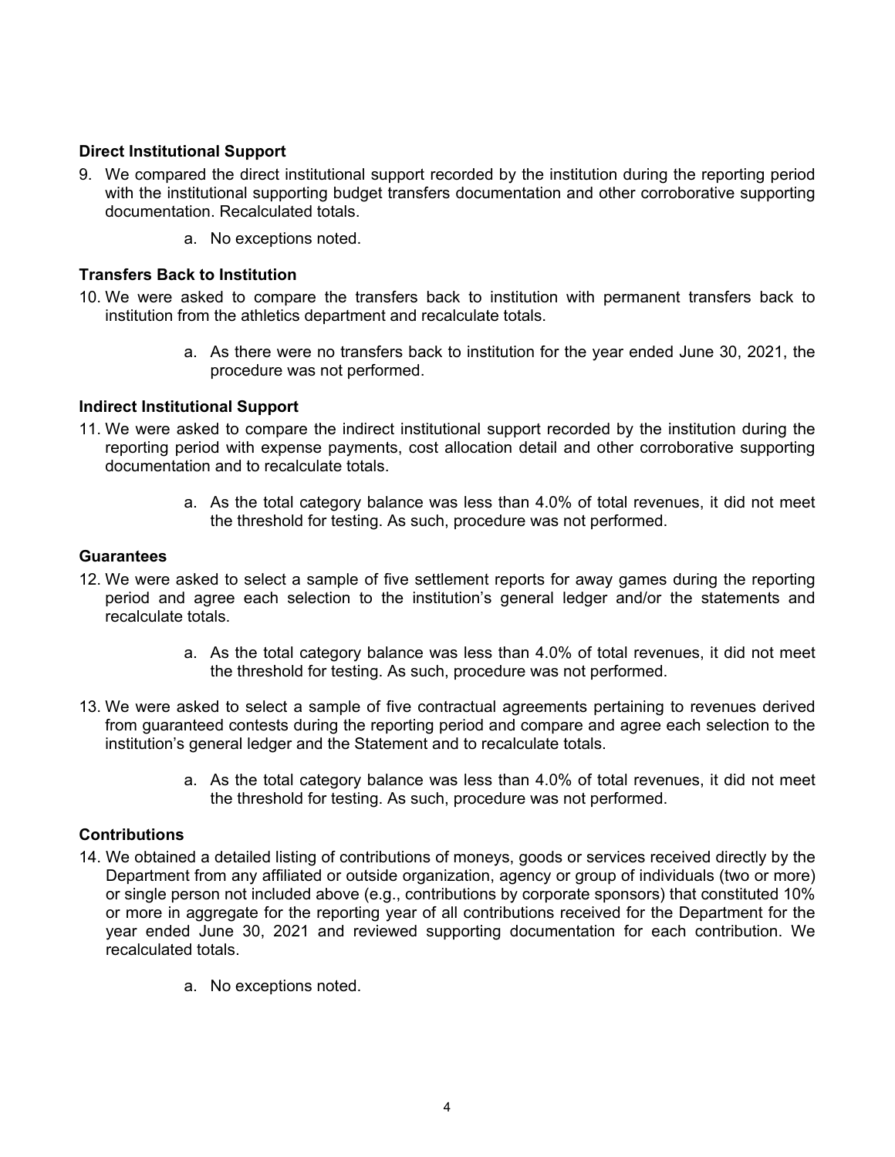## **Direct Institutional Support**

- 9. We compared the direct institutional support recorded by the institution during the reporting period with the institutional supporting budget transfers documentation and other corroborative supporting documentation. Recalculated totals.
	- a. No exceptions noted.

## **Transfers Back to Institution**

- 10. We were asked to compare the transfers back to institution with permanent transfers back to institution from the athletics department and recalculate totals.
	- a. As there were no transfers back to institution for the year ended June 30, 2021, the procedure was not performed.

## **Indirect Institutional Support**

- 11. We were asked to compare the indirect institutional support recorded by the institution during the reporting period with expense payments, cost allocation detail and other corroborative supporting documentation and to recalculate totals.
	- a. As the total category balance was less than 4.0% of total revenues, it did not meet the threshold for testing. As such, procedure was not performed.

#### **Guarantees**

- 12. We were asked to select a sample of five settlement reports for away games during the reporting period and agree each selection to the institution's general ledger and/or the statements and recalculate totals.
	- a. As the total category balance was less than 4.0% of total revenues, it did not meet the threshold for testing. As such, procedure was not performed.
- 13. We were asked to select a sample of five contractual agreements pertaining to revenues derived from guaranteed contests during the reporting period and compare and agree each selection to the institution's general ledger and the Statement and to recalculate totals.
	- a. As the total category balance was less than 4.0% of total revenues, it did not meet the threshold for testing. As such, procedure was not performed.

## **Contributions**

- 14. We obtained a detailed listing of contributions of moneys, goods or services received directly by the Department from any affiliated or outside organization, agency or group of individuals (two or more) or single person not included above (e.g., contributions by corporate sponsors) that constituted 10% or more in aggregate for the reporting year of all contributions received for the Department for the year ended June 30, 2021 and reviewed supporting documentation for each contribution. We recalculated totals.
	- a. No exceptions noted.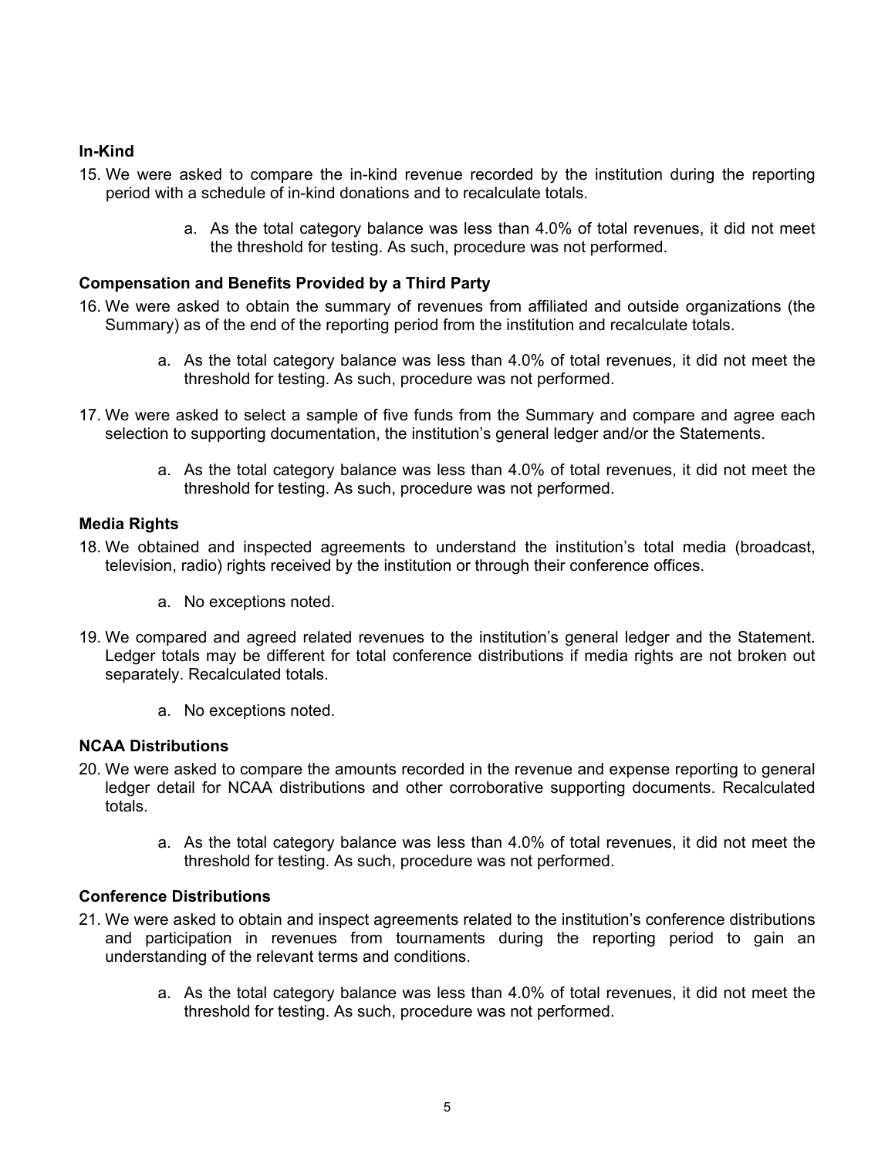# **In-Kind**

- 15. We were asked to compare the in-kind revenue recorded by the institution during the reporting period with a schedule of in-kind donations and to recalculate totals.
	- a. As the total category balance was less than 4.0% of total revenues, it did not meet the threshold for testing. As such, procedure was not performed.

## **Compensation and Benefits Provided by a Third Party**

- 16. We were asked to obtain the summary of revenues from affiliated and outside organizations (the Summary) as of the end of the reporting period from the institution and recalculate totals.
	- a. As the total category balance was less than 4.0% of total revenues, it did not meet the threshold for testing. As such, procedure was not performed.
- 17. We were asked to select a sample of five funds from the Summary and compare and agree each selection to supporting documentation, the institution's general ledger and/or the Statements.
	- a. As the total category balance was less than 4.0% of total revenues, it did not meet the threshold for testing. As such, procedure was not performed.

## **Media Rights**

- 18. We obtained and inspected agreements to understand the institution's total media (broadcast, television, radio) rights received by the institution or through their conference offices.
	- a. No exceptions noted.
- 19. We compared and agreed related revenues to the institution's general ledger and the Statement. Ledger totals may be different for total conference distributions if media rights are not broken out separately. Recalculated totals.
	- a. No exceptions noted.

## **NCAA Distributions**

- 20. We were asked to compare the amounts recorded in the revenue and expense reporting to general ledger detail for NCAA distributions and other corroborative supporting documents. Recalculated totals.
	- a. As the total category balance was less than 4.0% of total revenues, it did not meet the threshold for testing. As such, procedure was not performed.

## **Conference Distributions**

- 21. We were asked to obtain and inspect agreements related to the institution's conference distributions and participation in revenues from tournaments during the reporting period to gain an understanding of the relevant terms and conditions.
	- a. As the total category balance was less than 4.0% of total revenues, it did not meet the threshold for testing. As such, procedure was not performed.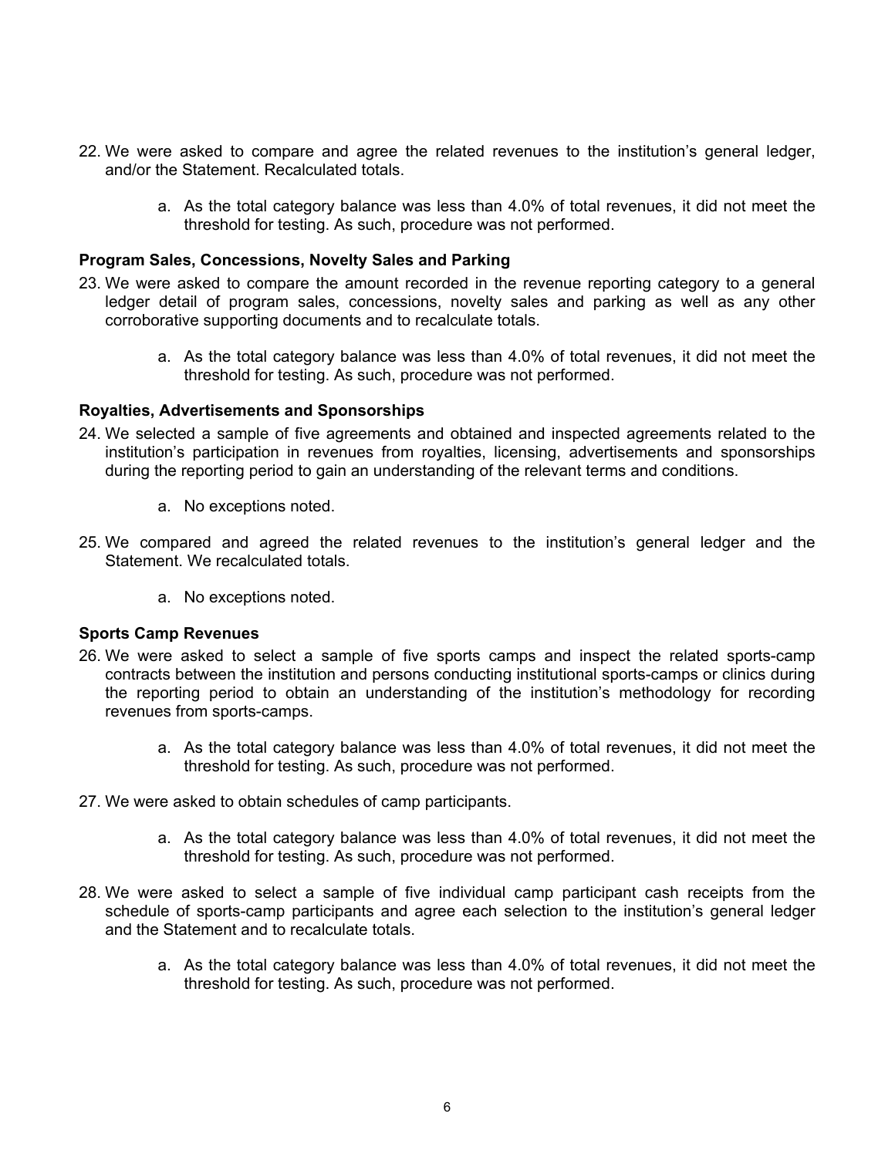- 22. We were asked to compare and agree the related revenues to the institution's general ledger, and/or the Statement. Recalculated totals.
	- a. As the total category balance was less than 4.0% of total revenues, it did not meet the threshold for testing. As such, procedure was not performed.

#### **Program Sales, Concessions, Novelty Sales and Parking**

- 23. We were asked to compare the amount recorded in the revenue reporting category to a general ledger detail of program sales, concessions, novelty sales and parking as well as any other corroborative supporting documents and to recalculate totals.
	- a. As the total category balance was less than 4.0% of total revenues, it did not meet the threshold for testing. As such, procedure was not performed.

#### **Royalties, Advertisements and Sponsorships**

- 24. We selected a sample of five agreements and obtained and inspected agreements related to the institution's participation in revenues from royalties, licensing, advertisements and sponsorships during the reporting period to gain an understanding of the relevant terms and conditions.
	- a. No exceptions noted.
- 25. We compared and agreed the related revenues to the institution's general ledger and the Statement. We recalculated totals.
	- a. No exceptions noted.

#### **Sports Camp Revenues**

- 26. We were asked to select a sample of five sports camps and inspect the related sports-camp contracts between the institution and persons conducting institutional sports-camps or clinics during the reporting period to obtain an understanding of the institution's methodology for recording revenues from sports-camps.
	- a. As the total category balance was less than 4.0% of total revenues, it did not meet the threshold for testing. As such, procedure was not performed.
- 27. We were asked to obtain schedules of camp participants.
	- a. As the total category balance was less than 4.0% of total revenues, it did not meet the threshold for testing. As such, procedure was not performed.
- 28. We were asked to select a sample of five individual camp participant cash receipts from the schedule of sports-camp participants and agree each selection to the institution's general ledger and the Statement and to recalculate totals.
	- a. As the total category balance was less than 4.0% of total revenues, it did not meet the threshold for testing. As such, procedure was not performed.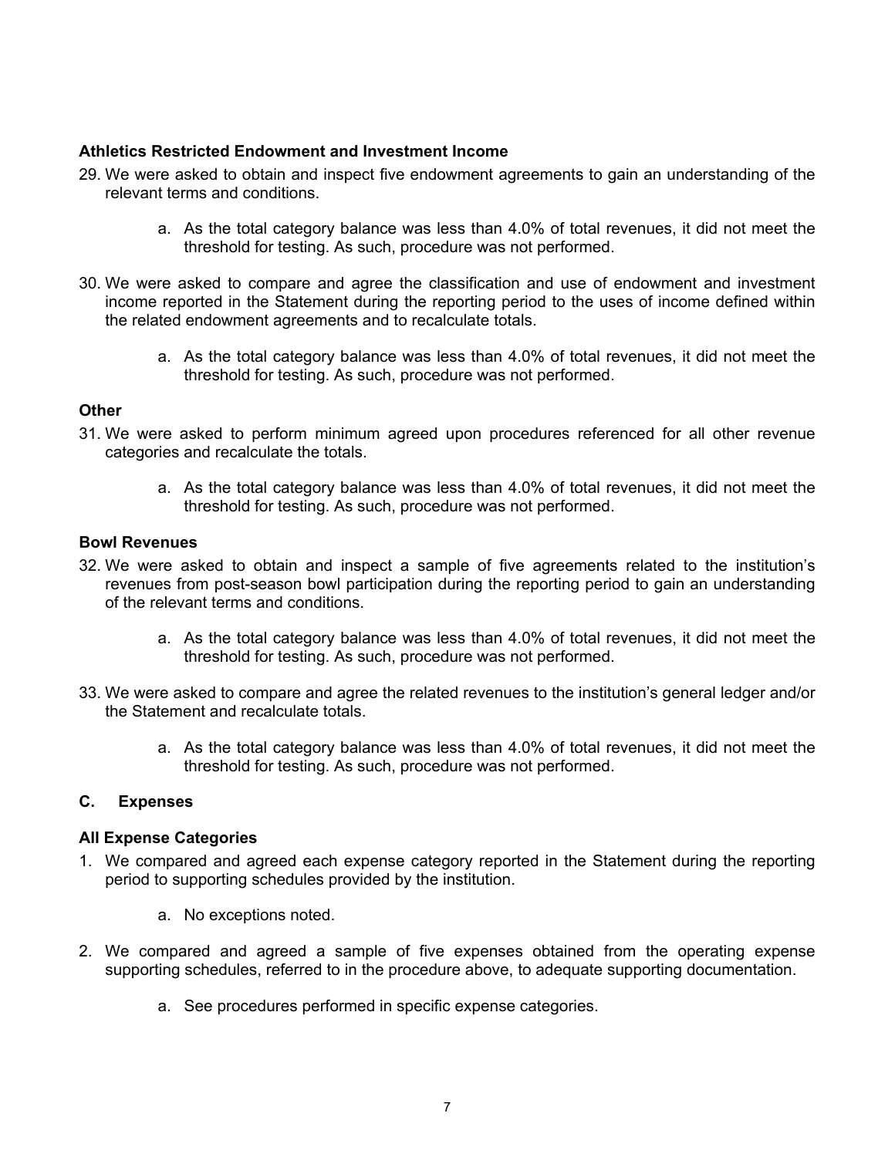#### **Athletics Restricted Endowment and Investment Income**

- 29. We were asked to obtain and inspect five endowment agreements to gain an understanding of the relevant terms and conditions.
	- a. As the total category balance was less than 4.0% of total revenues, it did not meet the threshold for testing. As such, procedure was not performed.
- 30. We were asked to compare and agree the classification and use of endowment and investment income reported in the Statement during the reporting period to the uses of income defined within the related endowment agreements and to recalculate totals.
	- a. As the total category balance was less than 4.0% of total revenues, it did not meet the threshold for testing. As such, procedure was not performed.

## **Other**

- 31. We were asked to perform minimum agreed upon procedures referenced for all other revenue categories and recalculate the totals.
	- a. As the total category balance was less than 4.0% of total revenues, it did not meet the threshold for testing. As such, procedure was not performed.

#### **Bowl Revenues**

- 32. We were asked to obtain and inspect a sample of five agreements related to the institution's revenues from post-season bowl participation during the reporting period to gain an understanding of the relevant terms and conditions.
	- a. As the total category balance was less than 4.0% of total revenues, it did not meet the threshold for testing. As such, procedure was not performed.
- 33. We were asked to compare and agree the related revenues to the institution's general ledger and/or the Statement and recalculate totals.
	- a. As the total category balance was less than 4.0% of total revenues, it did not meet the threshold for testing. As such, procedure was not performed.

#### **C. Expenses**

#### **All Expense Categories**

- 1. We compared and agreed each expense category reported in the Statement during the reporting period to supporting schedules provided by the institution.
	- a. No exceptions noted.
- 2. We compared and agreed a sample of five expenses obtained from the operating expense supporting schedules, referred to in the procedure above, to adequate supporting documentation.
	- a. See procedures performed in specific expense categories.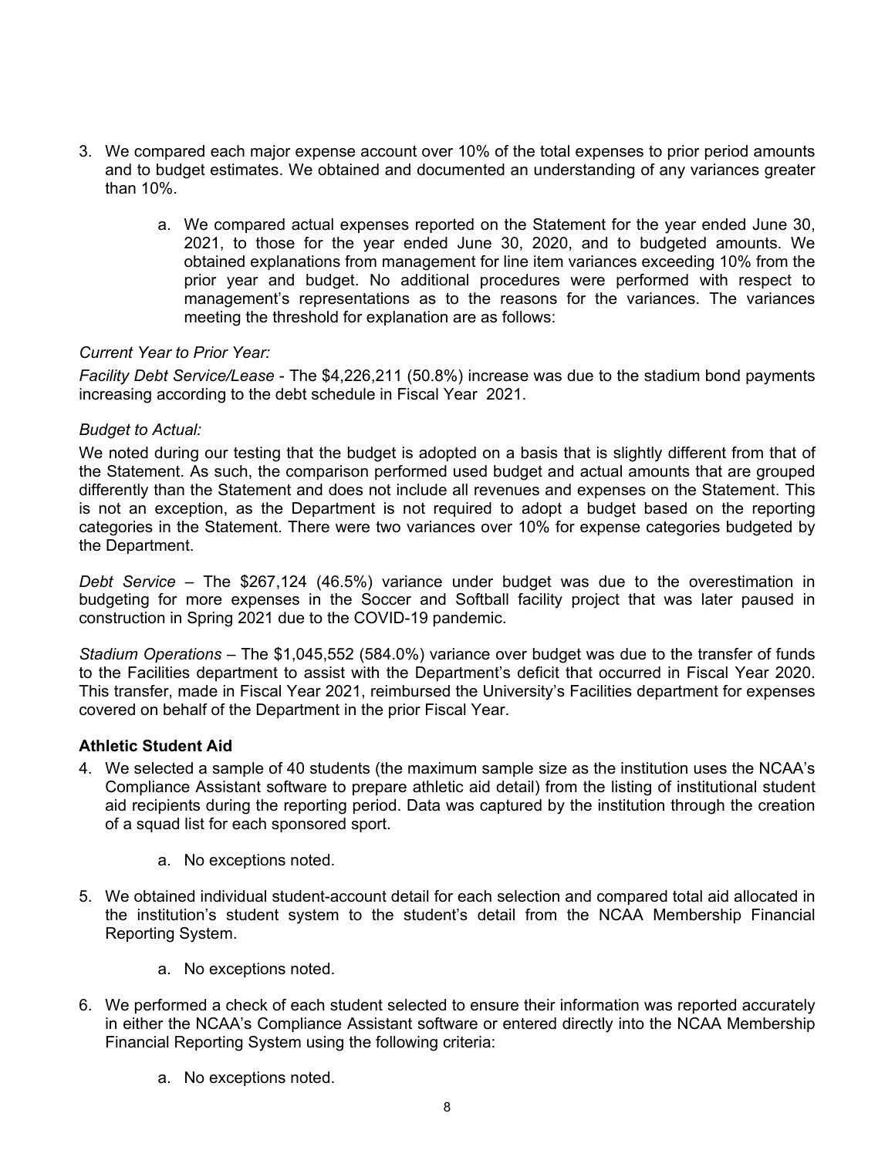- 3. We compared each major expense account over 10% of the total expenses to prior period amounts and to budget estimates. We obtained and documented an understanding of any variances greater than 10%.
	- a. We compared actual expenses reported on the Statement for the year ended June 30, 2021, to those for the year ended June 30, 2020, and to budgeted amounts. We obtained explanations from management for line item variances exceeding 10% from the prior year and budget. No additional procedures were performed with respect to management's representations as to the reasons for the variances. The variances meeting the threshold for explanation are as follows:

## *Current Year to Prior Year:*

*Facility Debt Service/Lease* - The \$4,226,211 (50.8%) increase was due to the stadium bond payments increasing according to the debt schedule in Fiscal Year 2021.

## *Budget to Actual:*

We noted during our testing that the budget is adopted on a basis that is slightly different from that of the Statement. As such, the comparison performed used budget and actual amounts that are grouped differently than the Statement and does not include all revenues and expenses on the Statement. This is not an exception, as the Department is not required to adopt a budget based on the reporting categories in the Statement. There were two variances over 10% for expense categories budgeted by the Department.

*Debt Service* – The \$267,124 (46.5%) variance under budget was due to the overestimation in budgeting for more expenses in the Soccer and Softball facility project that was later paused in construction in Spring 2021 due to the COVID-19 pandemic.

*Stadium Operations* – The \$1,045,552 (584.0%) variance over budget was due to the transfer of funds to the Facilities department to assist with the Department's deficit that occurred in Fiscal Year 2020. This transfer, made in Fiscal Year 2021, reimbursed the University's Facilities department for expenses covered on behalf of the Department in the prior Fiscal Year.

## **Athletic Student Aid**

- 4. We selected a sample of 40 students (the maximum sample size as the institution uses the NCAA's Compliance Assistant software to prepare athletic aid detail) from the listing of institutional student aid recipients during the reporting period. Data was captured by the institution through the creation of a squad list for each sponsored sport.
	- a. No exceptions noted.
- 5. We obtained individual student-account detail for each selection and compared total aid allocated in the institution's student system to the student's detail from the NCAA Membership Financial Reporting System.
	- a. No exceptions noted.
- 6. We performed a check of each student selected to ensure their information was reported accurately in either the NCAA's Compliance Assistant software or entered directly into the NCAA Membership Financial Reporting System using the following criteria:
	- a. No exceptions noted.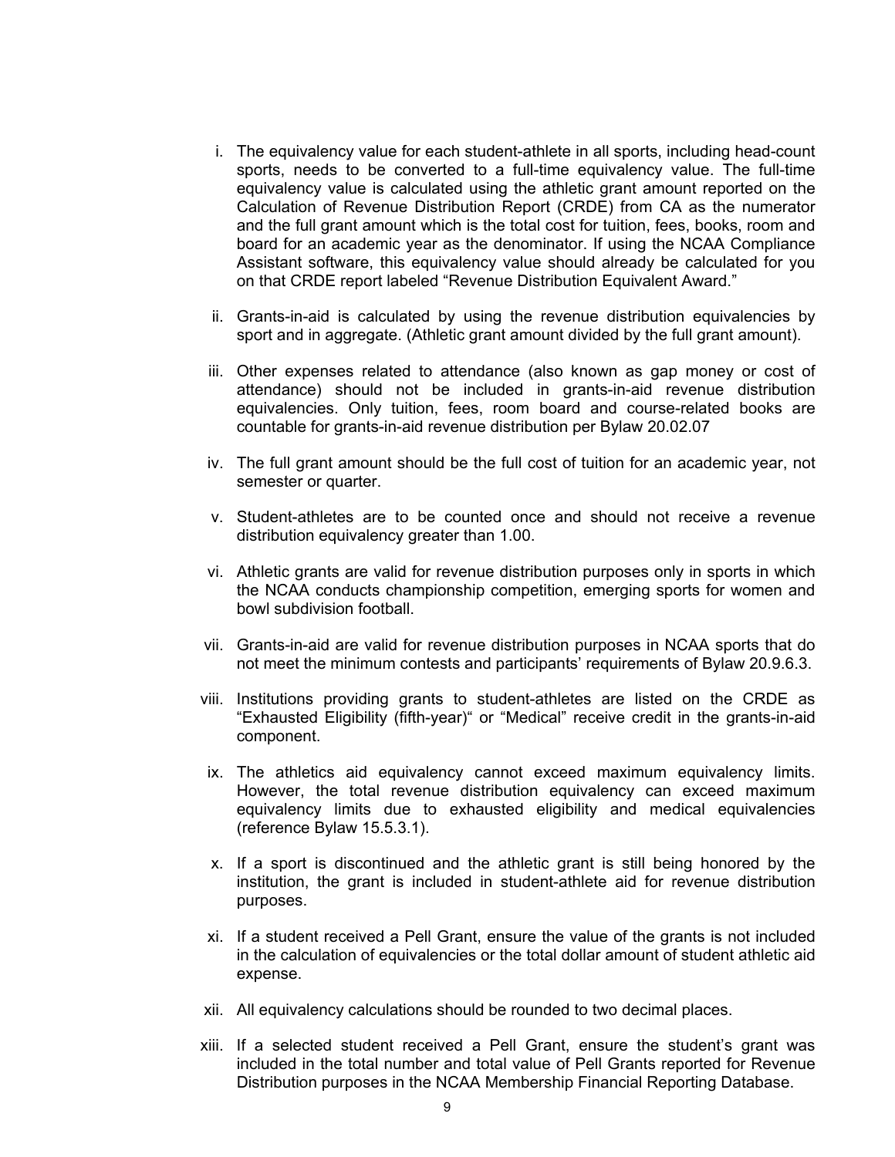- i. The equivalency value for each student-athlete in all sports, including head-count sports, needs to be converted to a full-time equivalency value. The full-time equivalency value is calculated using the athletic grant amount reported on the Calculation of Revenue Distribution Report (CRDE) from CA as the numerator and the full grant amount which is the total cost for tuition, fees, books, room and board for an academic year as the denominator. If using the NCAA Compliance Assistant software, this equivalency value should already be calculated for you on that CRDE report labeled "Revenue Distribution Equivalent Award."
- ii. Grants-in-aid is calculated by using the revenue distribution equivalencies by sport and in aggregate. (Athletic grant amount divided by the full grant amount).
- iii. Other expenses related to attendance (also known as gap money or cost of attendance) should not be included in grants-in-aid revenue distribution equivalencies. Only tuition, fees, room board and course-related books are countable for grants-in-aid revenue distribution per Bylaw 20.02.07
- iv. The full grant amount should be the full cost of tuition for an academic year, not semester or quarter.
- v. Student-athletes are to be counted once and should not receive a revenue distribution equivalency greater than 1.00.
- vi. Athletic grants are valid for revenue distribution purposes only in sports in which the NCAA conducts championship competition, emerging sports for women and bowl subdivision football.
- vii. Grants-in-aid are valid for revenue distribution purposes in NCAA sports that do not meet the minimum contests and participants' requirements of Bylaw 20.9.6.3.
- viii. Institutions providing grants to student-athletes are listed on the CRDE as "Exhausted Eligibility (fifth-year)" or "Medical" receive credit in the grants-in-aid component.
- ix. The athletics aid equivalency cannot exceed maximum equivalency limits. However, the total revenue distribution equivalency can exceed maximum equivalency limits due to exhausted eligibility and medical equivalencies (reference Bylaw 15.5.3.1).
- x. If a sport is discontinued and the athletic grant is still being honored by the institution, the grant is included in student-athlete aid for revenue distribution purposes.
- xi. If a student received a Pell Grant, ensure the value of the grants is not included in the calculation of equivalencies or the total dollar amount of student athletic aid expense.
- xii. All equivalency calculations should be rounded to two decimal places.
- xiii. If a selected student received a Pell Grant, ensure the student's grant was included in the total number and total value of Pell Grants reported for Revenue Distribution purposes in the NCAA Membership Financial Reporting Database.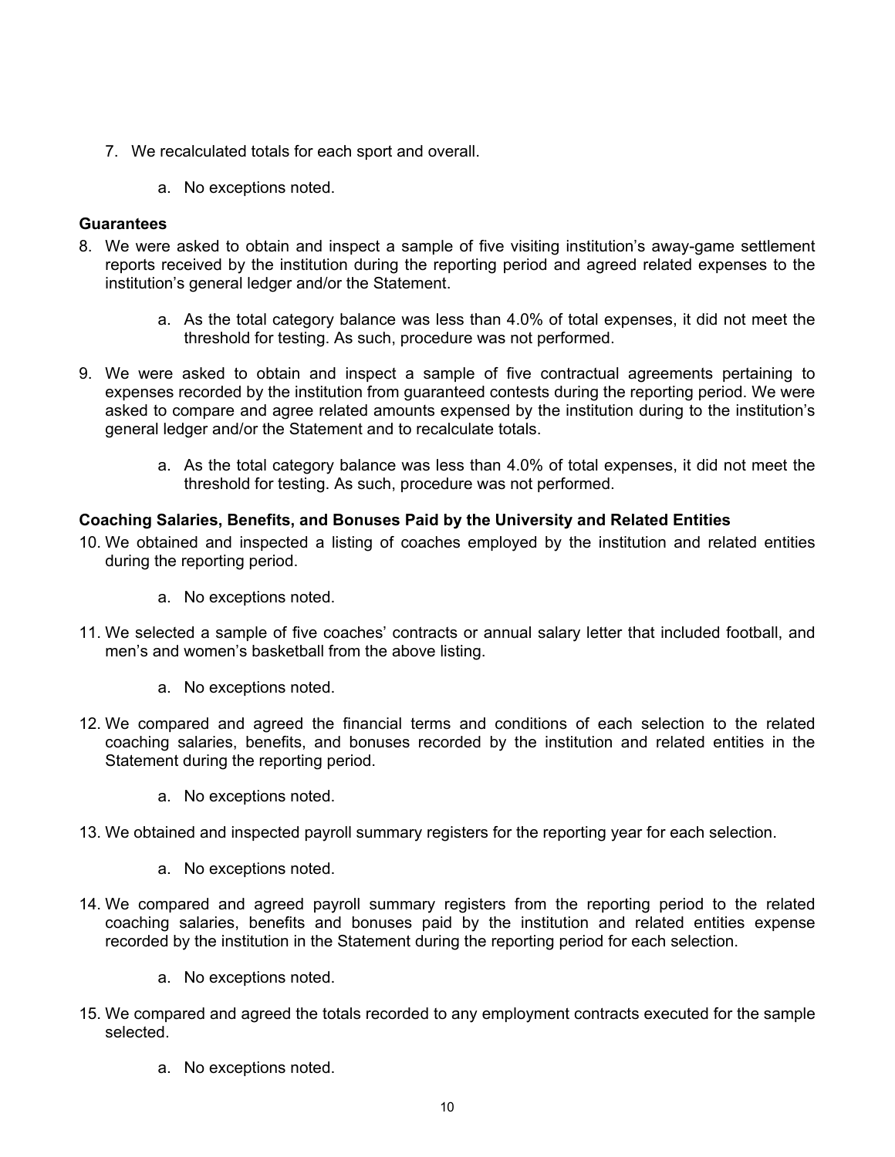- 7. We recalculated totals for each sport and overall.
	- a. No exceptions noted.

## **Guarantees**

- 8. We were asked to obtain and inspect a sample of five visiting institution's away-game settlement reports received by the institution during the reporting period and agreed related expenses to the institution's general ledger and/or the Statement.
	- a. As the total category balance was less than 4.0% of total expenses, it did not meet the threshold for testing. As such, procedure was not performed.
- 9. We were asked to obtain and inspect a sample of five contractual agreements pertaining to expenses recorded by the institution from guaranteed contests during the reporting period. We were asked to compare and agree related amounts expensed by the institution during to the institution's general ledger and/or the Statement and to recalculate totals.
	- a. As the total category balance was less than 4.0% of total expenses, it did not meet the threshold for testing. As such, procedure was not performed.

# **Coaching Salaries, Benefits, and Bonuses Paid by the University and Related Entities**

- 10. We obtained and inspected a listing of coaches employed by the institution and related entities during the reporting period.
	- a. No exceptions noted.
- 11. We selected a sample of five coaches' contracts or annual salary letter that included football, and men's and women's basketball from the above listing.
	- a. No exceptions noted.
- 12. We compared and agreed the financial terms and conditions of each selection to the related coaching salaries, benefits, and bonuses recorded by the institution and related entities in the Statement during the reporting period.
	- a. No exceptions noted.
- 13. We obtained and inspected payroll summary registers for the reporting year for each selection.
	- a. No exceptions noted.
- 14. We compared and agreed payroll summary registers from the reporting period to the related coaching salaries, benefits and bonuses paid by the institution and related entities expense recorded by the institution in the Statement during the reporting period for each selection.
	- a. No exceptions noted.
- 15. We compared and agreed the totals recorded to any employment contracts executed for the sample selected.
	- a. No exceptions noted.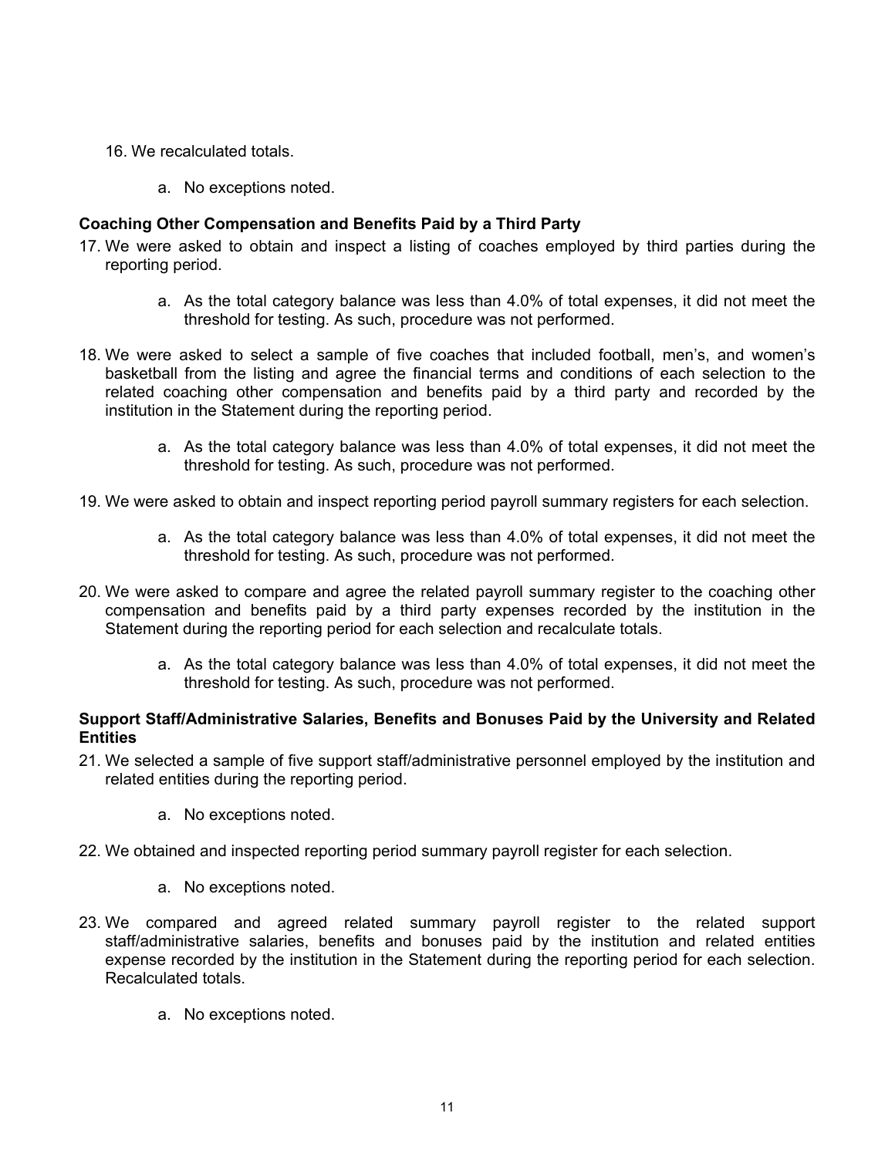- 16. We recalculated totals.
	- a. No exceptions noted.

## **Coaching Other Compensation and Benefits Paid by a Third Party**

- 17. We were asked to obtain and inspect a listing of coaches employed by third parties during the reporting period.
	- a. As the total category balance was less than 4.0% of total expenses, it did not meet the threshold for testing. As such, procedure was not performed.
- 18. We were asked to select a sample of five coaches that included football, men's, and women's basketball from the listing and agree the financial terms and conditions of each selection to the related coaching other compensation and benefits paid by a third party and recorded by the institution in the Statement during the reporting period.
	- a. As the total category balance was less than 4.0% of total expenses, it did not meet the threshold for testing. As such, procedure was not performed.
- 19. We were asked to obtain and inspect reporting period payroll summary registers for each selection.
	- a. As the total category balance was less than 4.0% of total expenses, it did not meet the threshold for testing. As such, procedure was not performed.
- 20. We were asked to compare and agree the related payroll summary register to the coaching other compensation and benefits paid by a third party expenses recorded by the institution in the Statement during the reporting period for each selection and recalculate totals.
	- a. As the total category balance was less than 4.0% of total expenses, it did not meet the threshold for testing. As such, procedure was not performed.

#### **Support Staff/Administrative Salaries, Benefits and Bonuses Paid by the University and Related Entities**

- 21. We selected a sample of five support staff/administrative personnel employed by the institution and related entities during the reporting period.
	- a. No exceptions noted.
- 22. We obtained and inspected reporting period summary payroll register for each selection.
	- a. No exceptions noted.
- 23. We compared and agreed related summary payroll register to the related support staff/administrative salaries, benefits and bonuses paid by the institution and related entities expense recorded by the institution in the Statement during the reporting period for each selection. Recalculated totals.
	- a. No exceptions noted.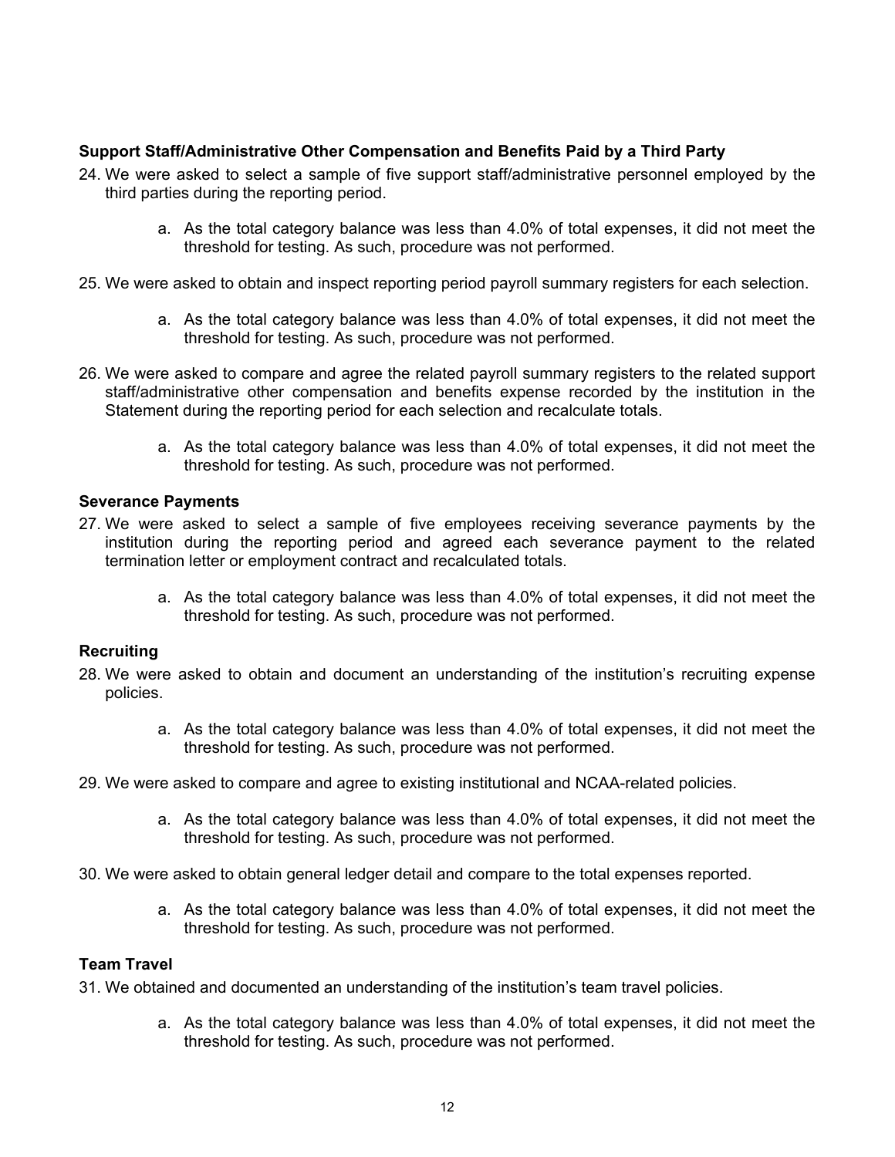## **Support Staff/Administrative Other Compensation and Benefits Paid by a Third Party**

- 24. We were asked to select a sample of five support staff/administrative personnel employed by the third parties during the reporting period.
	- a. As the total category balance was less than 4.0% of total expenses, it did not meet the threshold for testing. As such, procedure was not performed.
- 25. We were asked to obtain and inspect reporting period payroll summary registers for each selection.
	- a. As the total category balance was less than 4.0% of total expenses, it did not meet the threshold for testing. As such, procedure was not performed.
- 26. We were asked to compare and agree the related payroll summary registers to the related support staff/administrative other compensation and benefits expense recorded by the institution in the Statement during the reporting period for each selection and recalculate totals.
	- a. As the total category balance was less than 4.0% of total expenses, it did not meet the threshold for testing. As such, procedure was not performed.

## **Severance Payments**

- 27. We were asked to select a sample of five employees receiving severance payments by the institution during the reporting period and agreed each severance payment to the related termination letter or employment contract and recalculated totals.
	- a. As the total category balance was less than 4.0% of total expenses, it did not meet the threshold for testing. As such, procedure was not performed.

#### **Recruiting**

- 28. We were asked to obtain and document an understanding of the institution's recruiting expense policies.
	- a. As the total category balance was less than 4.0% of total expenses, it did not meet the threshold for testing. As such, procedure was not performed.
- 29. We were asked to compare and agree to existing institutional and NCAA-related policies.
	- a. As the total category balance was less than 4.0% of total expenses, it did not meet the threshold for testing. As such, procedure was not performed.
- 30. We were asked to obtain general ledger detail and compare to the total expenses reported.
	- a. As the total category balance was less than 4.0% of total expenses, it did not meet the threshold for testing. As such, procedure was not performed.

# **Team Travel**

31. We obtained and documented an understanding of the institution's team travel policies.

a. As the total category balance was less than 4.0% of total expenses, it did not meet the threshold for testing. As such, procedure was not performed.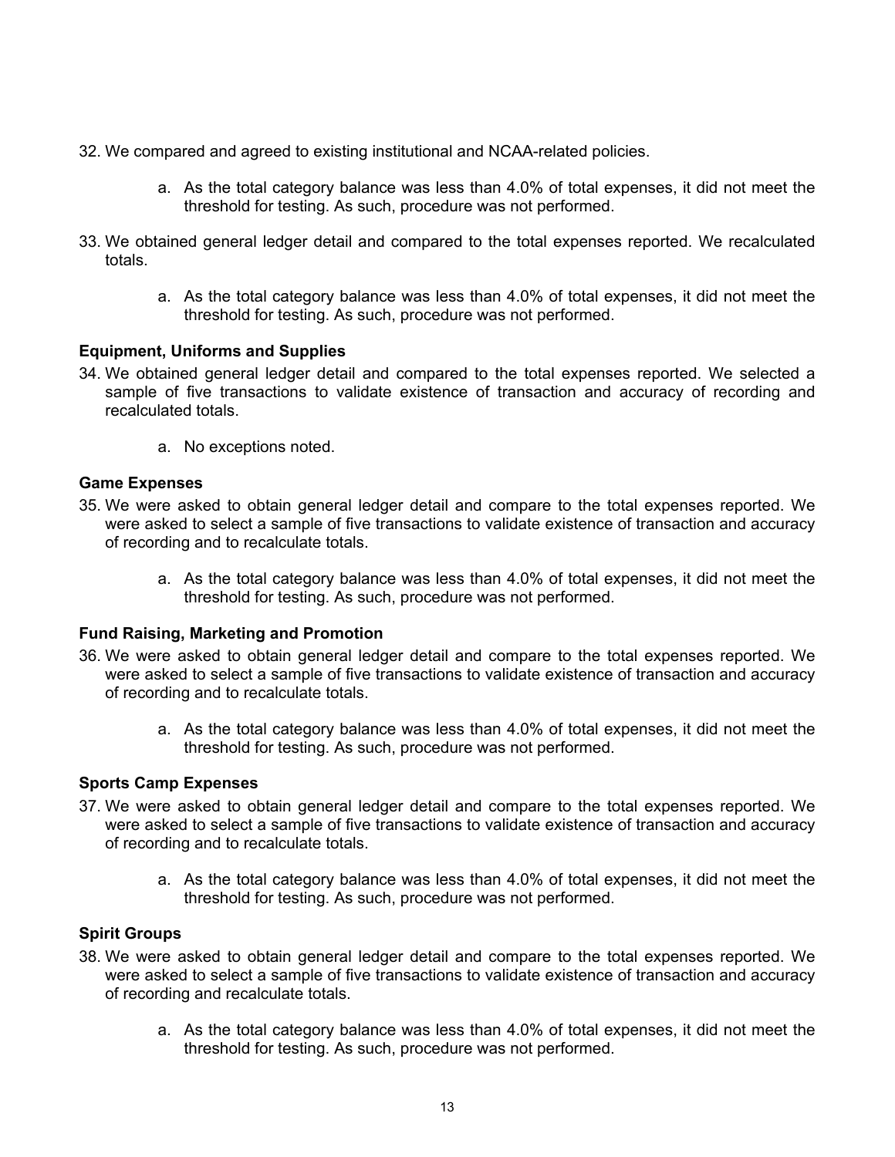- 32. We compared and agreed to existing institutional and NCAA-related policies.
	- a. As the total category balance was less than 4.0% of total expenses, it did not meet the threshold for testing. As such, procedure was not performed.
- 33. We obtained general ledger detail and compared to the total expenses reported. We recalculated totals.
	- a. As the total category balance was less than 4.0% of total expenses, it did not meet the threshold for testing. As such, procedure was not performed.

## **Equipment, Uniforms and Supplies**

- 34. We obtained general ledger detail and compared to the total expenses reported. We selected a sample of five transactions to validate existence of transaction and accuracy of recording and recalculated totals.
	- a. No exceptions noted.

# **Game Expenses**

- 35. We were asked to obtain general ledger detail and compare to the total expenses reported. We were asked to select a sample of five transactions to validate existence of transaction and accuracy of recording and to recalculate totals.
	- a. As the total category balance was less than 4.0% of total expenses, it did not meet the threshold for testing. As such, procedure was not performed.

## **Fund Raising, Marketing and Promotion**

- 36. We were asked to obtain general ledger detail and compare to the total expenses reported. We were asked to select a sample of five transactions to validate existence of transaction and accuracy of recording and to recalculate totals.
	- a. As the total category balance was less than 4.0% of total expenses, it did not meet the threshold for testing. As such, procedure was not performed.

## **Sports Camp Expenses**

- 37. We were asked to obtain general ledger detail and compare to the total expenses reported. We were asked to select a sample of five transactions to validate existence of transaction and accuracy of recording and to recalculate totals.
	- a. As the total category balance was less than 4.0% of total expenses, it did not meet the threshold for testing. As such, procedure was not performed.

## **Spirit Groups**

- 38. We were asked to obtain general ledger detail and compare to the total expenses reported. We were asked to select a sample of five transactions to validate existence of transaction and accuracy of recording and recalculate totals.
	- a. As the total category balance was less than 4.0% of total expenses, it did not meet the threshold for testing. As such, procedure was not performed.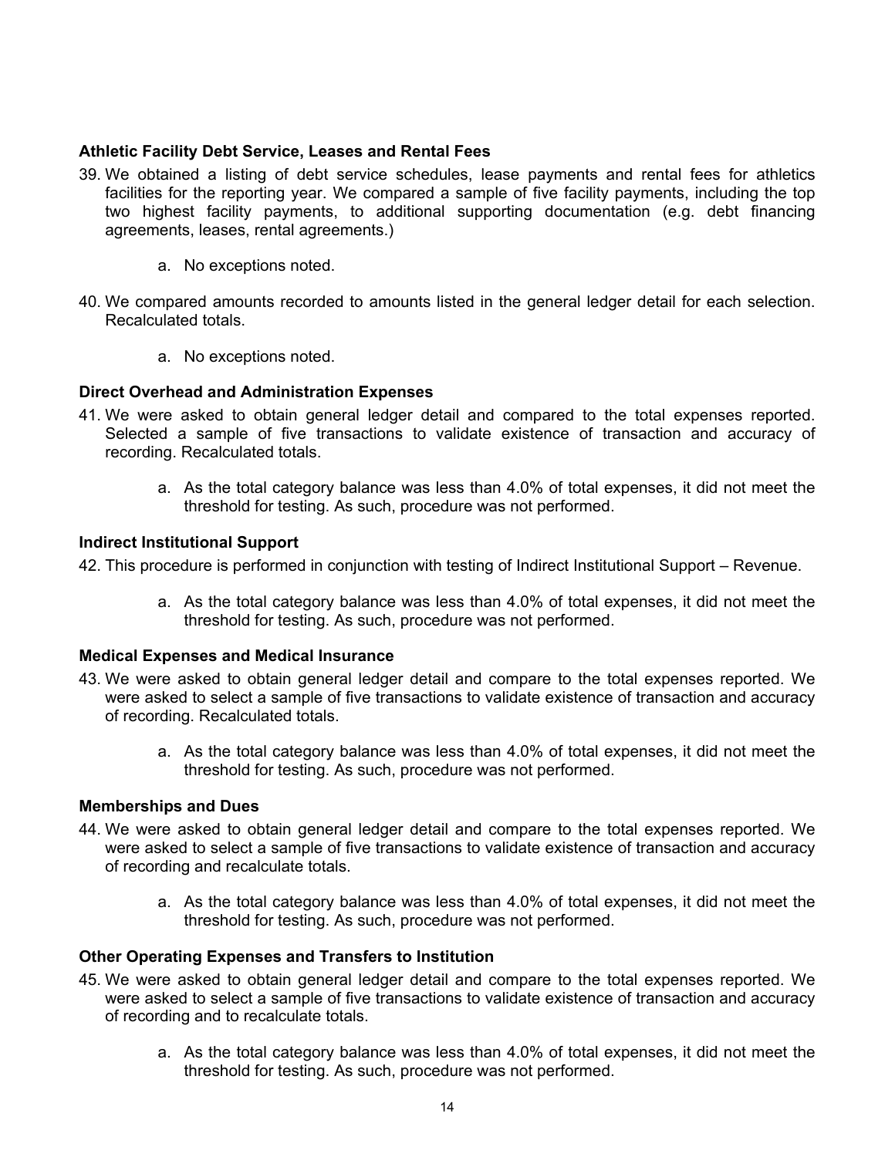#### **Athletic Facility Debt Service, Leases and Rental Fees**

- 39. We obtained a listing of debt service schedules, lease payments and rental fees for athletics facilities for the reporting year. We compared a sample of five facility payments, including the top two highest facility payments, to additional supporting documentation (e.g. debt financing agreements, leases, rental agreements.)
	- a. No exceptions noted.
- 40. We compared amounts recorded to amounts listed in the general ledger detail for each selection. Recalculated totals.
	- a. No exceptions noted.

#### **Direct Overhead and Administration Expenses**

- 41. We were asked to obtain general ledger detail and compared to the total expenses reported. Selected a sample of five transactions to validate existence of transaction and accuracy of recording. Recalculated totals.
	- a. As the total category balance was less than 4.0% of total expenses, it did not meet the threshold for testing. As such, procedure was not performed.

#### **Indirect Institutional Support**

42. This procedure is performed in conjunction with testing of Indirect Institutional Support – Revenue.

a. As the total category balance was less than 4.0% of total expenses, it did not meet the threshold for testing. As such, procedure was not performed.

#### **Medical Expenses and Medical Insurance**

- 43. We were asked to obtain general ledger detail and compare to the total expenses reported. We were asked to select a sample of five transactions to validate existence of transaction and accuracy of recording. Recalculated totals.
	- a. As the total category balance was less than 4.0% of total expenses, it did not meet the threshold for testing. As such, procedure was not performed.

#### **Memberships and Dues**

- 44. We were asked to obtain general ledger detail and compare to the total expenses reported. We were asked to select a sample of five transactions to validate existence of transaction and accuracy of recording and recalculate totals.
	- a. As the total category balance was less than 4.0% of total expenses, it did not meet the threshold for testing. As such, procedure was not performed.

## **Other Operating Expenses and Transfers to Institution**

- 45. We were asked to obtain general ledger detail and compare to the total expenses reported. We were asked to select a sample of five transactions to validate existence of transaction and accuracy of recording and to recalculate totals.
	- a. As the total category balance was less than 4.0% of total expenses, it did not meet the threshold for testing. As such, procedure was not performed.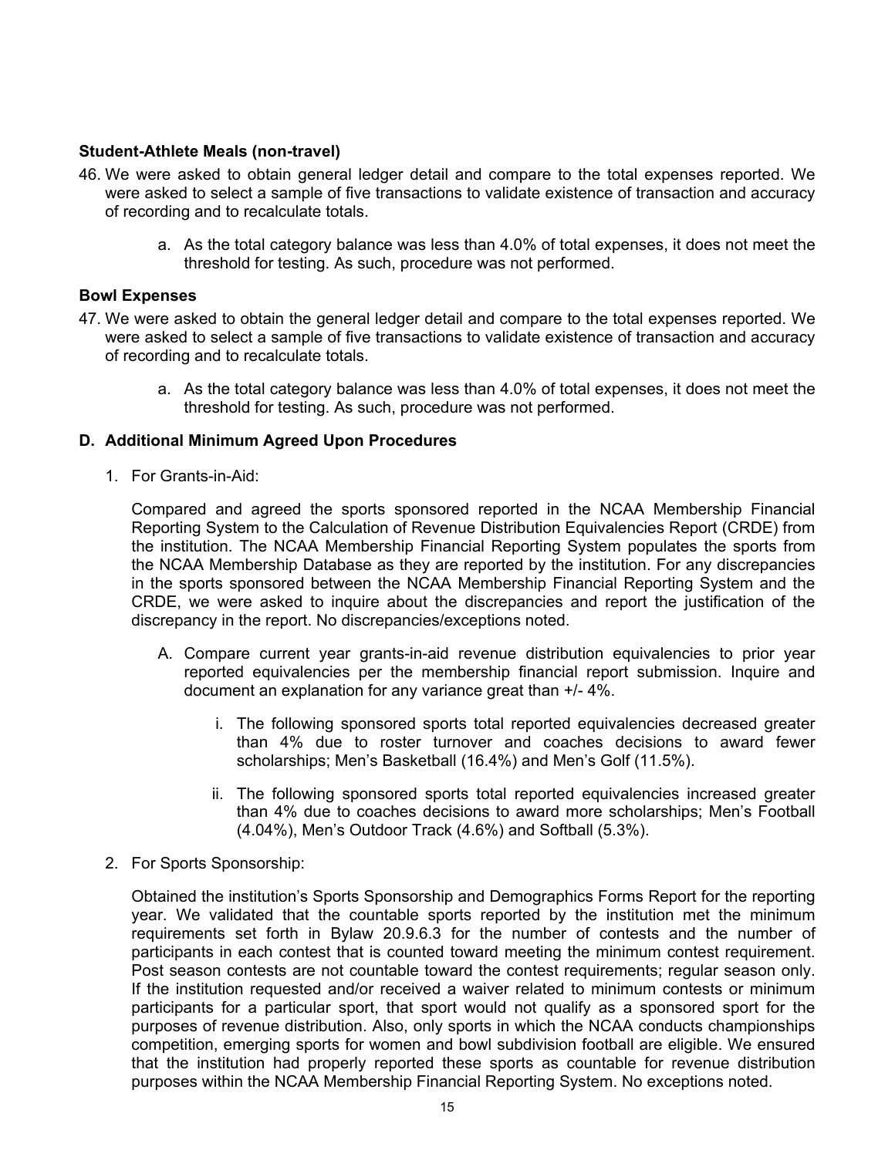## **Student-Athlete Meals (non-travel)**

- 46. We were asked to obtain general ledger detail and compare to the total expenses reported. We were asked to select a sample of five transactions to validate existence of transaction and accuracy of recording and to recalculate totals.
	- a. As the total category balance was less than 4.0% of total expenses, it does not meet the threshold for testing. As such, procedure was not performed.

#### **Bowl Expenses**

- 47. We were asked to obtain the general ledger detail and compare to the total expenses reported. We were asked to select a sample of five transactions to validate existence of transaction and accuracy of recording and to recalculate totals.
	- a. As the total category balance was less than 4.0% of total expenses, it does not meet the threshold for testing. As such, procedure was not performed.

#### **D. Additional Minimum Agreed Upon Procedures**

1. For Grants-in-Aid:

Compared and agreed the sports sponsored reported in the NCAA Membership Financial Reporting System to the Calculation of Revenue Distribution Equivalencies Report (CRDE) from the institution. The NCAA Membership Financial Reporting System populates the sports from the NCAA Membership Database as they are reported by the institution. For any discrepancies in the sports sponsored between the NCAA Membership Financial Reporting System and the CRDE, we were asked to inquire about the discrepancies and report the justification of the discrepancy in the report. No discrepancies/exceptions noted.

- A. Compare current year grants-in-aid revenue distribution equivalencies to prior year reported equivalencies per the membership financial report submission. Inquire and document an explanation for any variance great than +/- 4%.
	- i. The following sponsored sports total reported equivalencies decreased greater than 4% due to roster turnover and coaches decisions to award fewer scholarships; Men's Basketball (16.4%) and Men's Golf (11.5%).
	- ii. The following sponsored sports total reported equivalencies increased greater than 4% due to coaches decisions to award more scholarships; Men's Football (4.04%), Men's Outdoor Track (4.6%) and Softball (5.3%).
- 2. For Sports Sponsorship:

Obtained the institution's Sports Sponsorship and Demographics Forms Report for the reporting year. We validated that the countable sports reported by the institution met the minimum requirements set forth in Bylaw 20.9.6.3 for the number of contests and the number of participants in each contest that is counted toward meeting the minimum contest requirement. Post season contests are not countable toward the contest requirements; regular season only. If the institution requested and/or received a waiver related to minimum contests or minimum participants for a particular sport, that sport would not qualify as a sponsored sport for the purposes of revenue distribution. Also, only sports in which the NCAA conducts championships competition, emerging sports for women and bowl subdivision football are eligible. We ensured that the institution had properly reported these sports as countable for revenue distribution purposes within the NCAA Membership Financial Reporting System. No exceptions noted.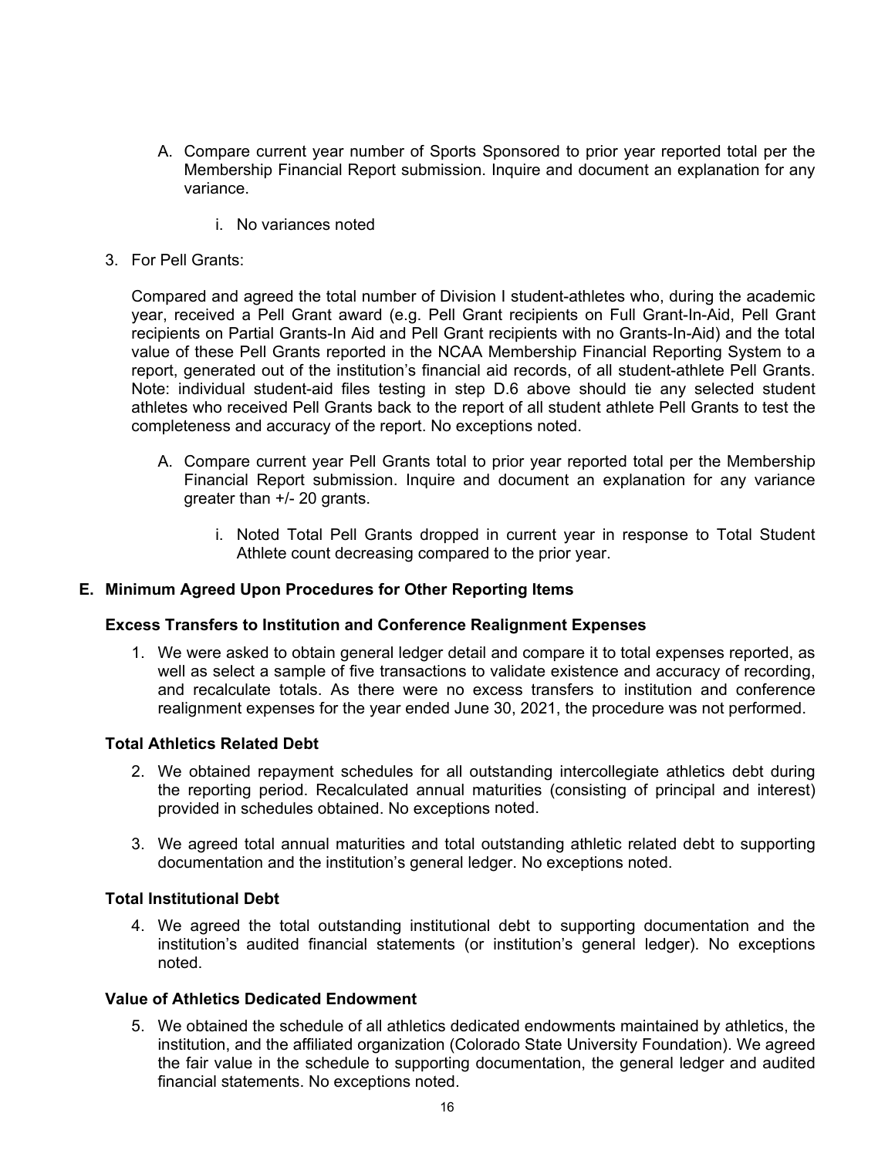- A. Compare current year number of Sports Sponsored to prior year reported total per the Membership Financial Report submission. Inquire and document an explanation for any variance.
	- i. No variances noted
- 3. For Pell Grants:

Compared and agreed the total number of Division I student-athletes who, during the academic year, received a Pell Grant award (e.g. Pell Grant recipients on Full Grant-In-Aid, Pell Grant recipients on Partial Grants-In Aid and Pell Grant recipients with no Grants-In-Aid) and the total value of these Pell Grants reported in the NCAA Membership Financial Reporting System to a report, generated out of the institution's financial aid records, of all student-athlete Pell Grants. Note: individual student-aid files testing in step D.6 above should tie any selected student athletes who received Pell Grants back to the report of all student athlete Pell Grants to test the completeness and accuracy of the report. No exceptions noted.

- A. Compare current year Pell Grants total to prior year reported total per the Membership Financial Report submission. Inquire and document an explanation for any variance greater than +/- 20 grants.
	- i. Noted Total Pell Grants dropped in current year in response to Total Student Athlete count decreasing compared to the prior year.

#### **E. Minimum Agreed Upon Procedures for Other Reporting Items**

#### **Excess Transfers to Institution and Conference Realignment Expenses**

1. We were asked to obtain general ledger detail and compare it to total expenses reported, as well as select a sample of five transactions to validate existence and accuracy of recording, and recalculate totals. As there were no excess transfers to institution and conference realignment expenses for the year ended June 30, 2021, the procedure was not performed.

#### **Total Athletics Related Debt**

- 2. We obtained repayment schedules for all outstanding intercollegiate athletics debt during the reporting period. Recalculated annual maturities (consisting of principal and interest) provided in schedules obtained. No exceptions noted.
- 3. We agreed total annual maturities and total outstanding athletic related debt to supporting documentation and the institution's general ledger. No exceptions noted.

#### **Total Institutional Debt**

4. We agreed the total outstanding institutional debt to supporting documentation and the institution's audited financial statements (or institution's general ledger). No exceptions noted.

#### **Value of Athletics Dedicated Endowment**

5. We obtained the schedule of all athletics dedicated endowments maintained by athletics, the institution, and the affiliated organization (Colorado State University Foundation). We agreed the fair value in the schedule to supporting documentation, the general ledger and audited financial statements. No exceptions noted.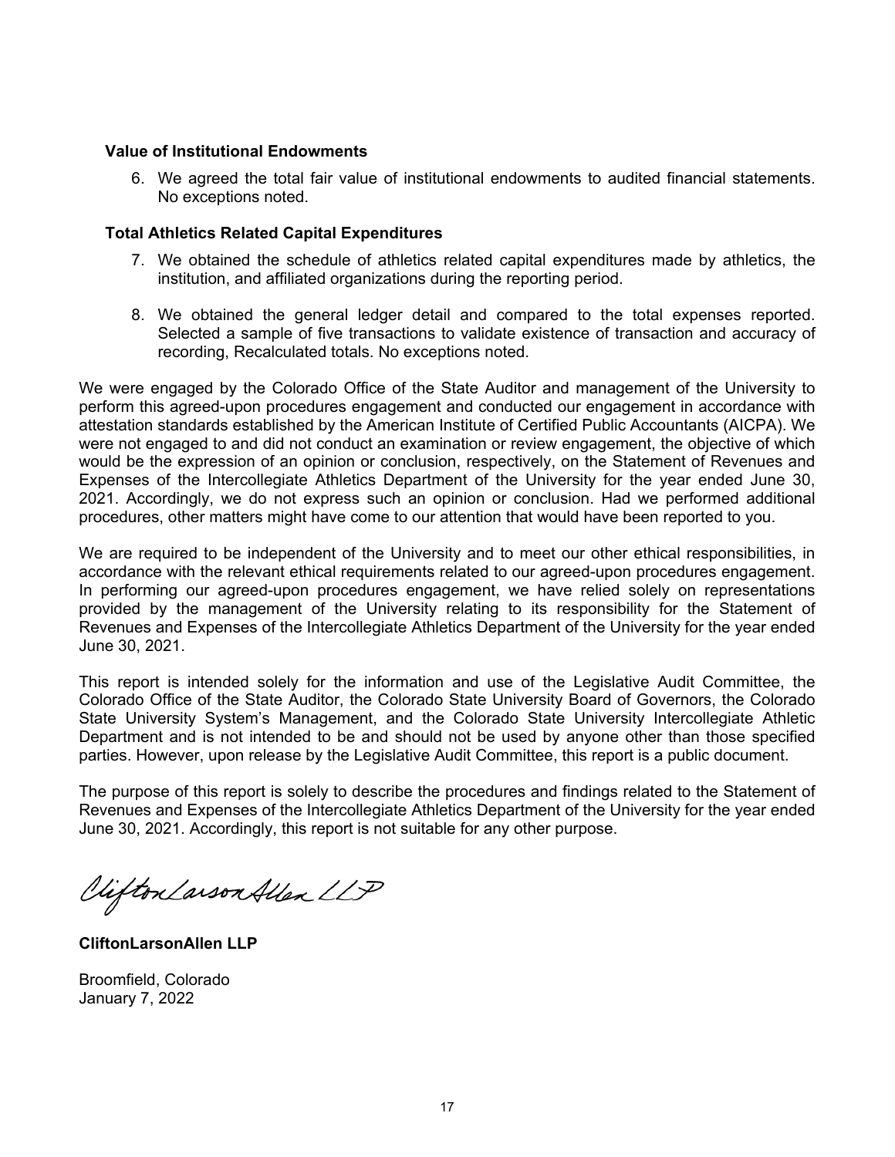#### **Value of Institutional Endowments**

6. We agreed the total fair value of institutional endowments to audited financial statements. No exceptions noted.

#### **Total Athletics Related Capital Expenditures**

- 7. We obtained the schedule of athletics related capital expenditures made by athletics, the institution, and affiliated organizations during the reporting period.
- 8. We obtained the general ledger detail and compared to the total expenses reported. Selected a sample of five transactions to validate existence of transaction and accuracy of recording, Recalculated totals. No exceptions noted.

We were engaged by the Colorado Office of the State Auditor and management of the University to perform this agreed-upon procedures engagement and conducted our engagement in accordance with attestation standards established by the American Institute of Certified Public Accountants (AICPA). We were not engaged to and did not conduct an examination or review engagement, the objective of which would be the expression of an opinion or conclusion, respectively, on the Statement of Revenues and Expenses of the Intercollegiate Athletics Department of the University for the year ended June 30, 2021. Accordingly, we do not express such an opinion or conclusion. Had we performed additional procedures, other matters might have come to our attention that would have been reported to you.

We are required to be independent of the University and to meet our other ethical responsibilities, in accordance with the relevant ethical requirements related to our agreed-upon procedures engagement. In performing our agreed-upon procedures engagement, we have relied solely on representations provided by the management of the University relating to its responsibility for the Statement of Revenues and Expenses of the Intercollegiate Athletics Department of the University for the year ended June 30, 2021.

This report is intended solely for the information and use of the Legislative Audit Committee, the Colorado Office of the State Auditor, the Colorado State University Board of Governors, the Colorado State University System's Management, and the Colorado State University Intercollegiate Athletic Department and is not intended to be and should not be used by anyone other than those specified parties. However, upon release by the Legislative Audit Committee, this report is a public document.

The purpose of this report is solely to describe the procedures and findings related to the Statement of Revenues and Expenses of the Intercollegiate Athletics Department of the University for the year ended June 30, 2021. Accordingly, this report is not suitable for any other purpose.

Viifton Larson Allen LLP

**CliftonLarsonAllen LLP** 

Broomfield, Colorado January 7, 2022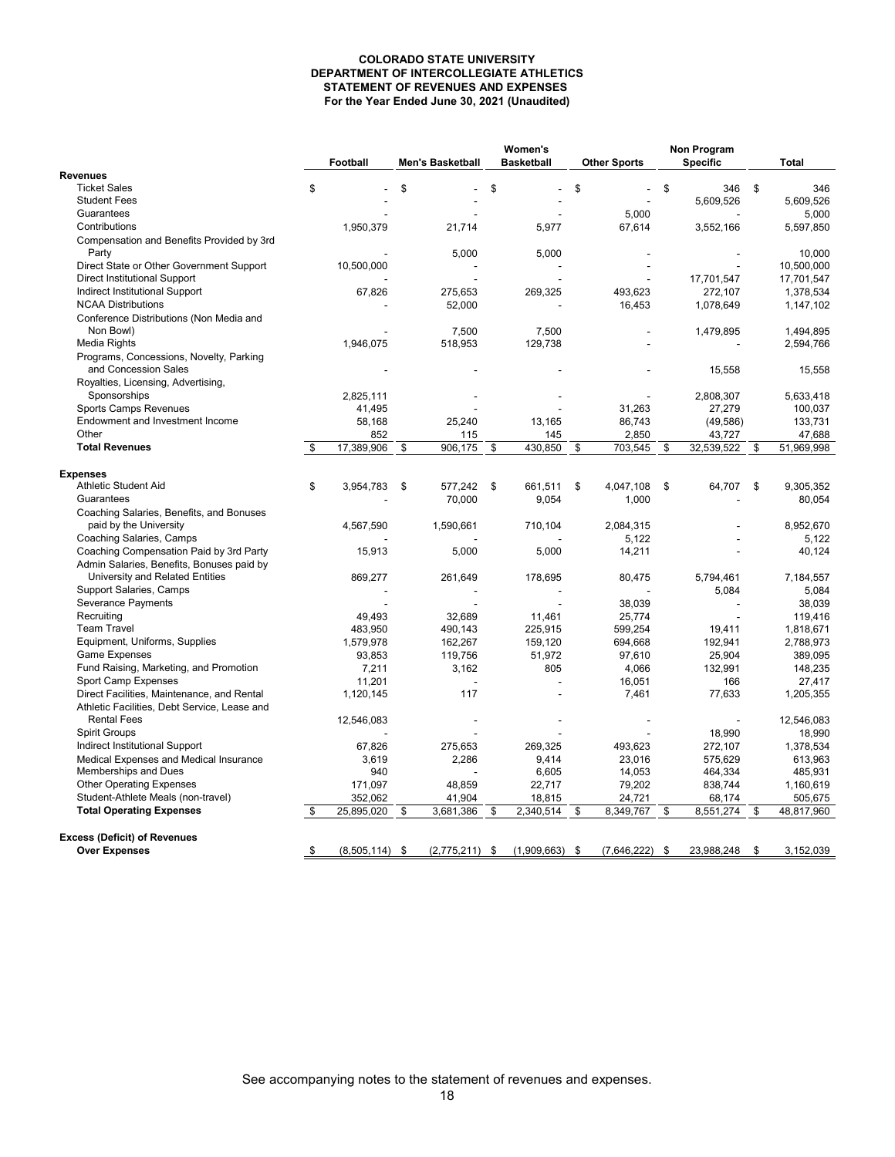#### **COLORADO STATE UNIVERSITY DEPARTMENT OF INTERCOLLEGIATE ATHLETICS STATEMENT OF REVENUES AND EXPENSES For the Year Ended June 30, 2021 (Unaudited)**

|                                                                                 |    |             |                         | Women's |                   | Non Program |                     |                       |                           |
|---------------------------------------------------------------------------------|----|-------------|-------------------------|---------|-------------------|-------------|---------------------|-----------------------|---------------------------|
|                                                                                 |    | Football    | <b>Men's Basketball</b> |         | <b>Basketball</b> |             | <b>Other Sports</b> | <b>Specific</b>       | <b>Total</b>              |
| <b>Revenues</b>                                                                 |    |             |                         |         |                   |             |                     |                       |                           |
| <b>Ticket Sales</b>                                                             | \$ |             | \$                      | \$      |                   | \$          |                     | \$<br>346             | \$<br>346                 |
| <b>Student Fees</b>                                                             |    |             |                         |         |                   |             |                     | 5,609,526             | 5,609,526                 |
| Guarantees                                                                      |    |             |                         |         |                   |             | 5,000               |                       | 5,000                     |
| Contributions                                                                   |    | 1,950,379   | 21,714                  |         | 5,977             |             | 67,614              | 3,552,166             | 5,597,850                 |
| Compensation and Benefits Provided by 3rd<br>Party                              |    |             | 5,000                   |         | 5,000             |             |                     |                       | 10,000                    |
|                                                                                 |    | 10,500,000  |                         |         |                   |             |                     |                       |                           |
| Direct State or Other Government Support<br><b>Direct Institutional Support</b> |    |             |                         |         |                   |             |                     |                       | 10,500,000                |
| Indirect Institutional Support                                                  |    | 67,826      | 275,653                 |         | 269,325           |             | 493,623             | 17,701,547<br>272,107 | 17,701,547<br>1,378,534   |
| <b>NCAA Distributions</b>                                                       |    |             | 52,000                  |         |                   |             | 16,453              | 1,078,649             | 1,147,102                 |
| Conference Distributions (Non Media and<br>Non Bowl)                            |    |             |                         |         |                   |             |                     |                       |                           |
| Media Rights                                                                    |    |             | 7,500                   |         | 7,500             |             |                     | 1,479,895             | 1,494,895                 |
|                                                                                 |    | 1,946,075   | 518,953                 |         | 129,738           |             |                     |                       | 2,594,766                 |
| Programs, Concessions, Novelty, Parking<br>and Concession Sales                 |    |             |                         |         |                   |             |                     | 15,558                | 15,558                    |
| Royalties, Licensing, Advertising,                                              |    |             |                         |         |                   |             |                     |                       |                           |
| Sponsorships                                                                    |    | 2,825,111   |                         |         |                   |             |                     | 2,808,307             | 5,633,418                 |
| Sports Camps Revenues                                                           |    | 41,495      |                         |         |                   |             | 31,263              | 27,279                | 100,037                   |
| Endowment and Investment Income                                                 |    | 58,168      | 25,240                  |         | 13,165            |             | 86,743              | (49, 586)             | 133,731                   |
| Other                                                                           |    | 852         | 115                     |         | 145               |             | 2,850               | 43,727                | 47,688                    |
| <b>Total Revenues</b>                                                           | \$ | 17,389,906  | \$<br>906,175           | \$      | 430,850           | \$          | 703,545             | \$<br>32,539,522      | \$<br>51,969,998          |
|                                                                                 |    |             |                         |         |                   |             |                     |                       |                           |
| <b>Expenses</b><br>Athletic Student Aid                                         |    |             |                         |         |                   |             |                     |                       |                           |
| Guarantees                                                                      | \$ | 3,954,783   | \$<br>577,242           | \$      | 661,511           | \$          | 4,047,108           | \$<br>64,707          | \$<br>9,305,352<br>80,054 |
| Coaching Salaries, Benefits, and Bonuses                                        |    |             | 70,000                  |         | 9,054             |             | 1,000               |                       |                           |
| paid by the University                                                          |    | 4,567,590   | 1,590,661               |         | 710,104           |             | 2,084,315           |                       | 8,952,670                 |
| Coaching Salaries, Camps                                                        |    |             |                         |         |                   |             | 5,122               |                       | 5,122                     |
| Coaching Compensation Paid by 3rd Party                                         |    | 15,913      | 5,000                   |         | 5,000             |             | 14,211              |                       | 40,124                    |
| Admin Salaries, Benefits, Bonuses paid by                                       |    |             |                         |         |                   |             |                     |                       |                           |
| University and Related Entities                                                 |    | 869,277     | 261,649                 |         | 178,695           |             | 80,475              | 5,794,461             | 7,184,557                 |
| Support Salaries, Camps                                                         |    |             |                         |         |                   |             |                     | 5,084                 | 5,084                     |
| Severance Payments                                                              |    |             |                         |         |                   |             | 38,039              |                       | 38,039                    |
| Recruiting                                                                      |    | 49,493      | 32,689                  |         | 11,461            |             | 25,774              |                       | 119,416                   |
| <b>Team Travel</b>                                                              |    | 483,950     | 490,143                 |         | 225,915           |             | 599,254             | 19,411                | 1,818,671                 |
| Equipment, Uniforms, Supplies                                                   |    | 1,579,978   | 162,267                 |         | 159,120           |             | 694,668             | 192,941               | 2,788,973                 |
| <b>Game Expenses</b>                                                            |    | 93,853      | 119,756                 |         | 51,972            |             | 97,610              | 25,904                | 389,095                   |
| Fund Raising, Marketing, and Promotion                                          |    | 7,211       | 3,162                   |         | 805               |             | 4,066               | 132,991               | 148,235                   |
| Sport Camp Expenses                                                             |    | 11,201      |                         |         |                   |             | 16,051              | 166                   | 27,417                    |
| Direct Facilities, Maintenance, and Rental                                      |    | 1,120,145   | 117                     |         |                   |             | 7,461               | 77,633                | 1,205,355                 |
| Athletic Facilities, Debt Service, Lease and                                    |    |             |                         |         |                   |             |                     |                       |                           |
| <b>Rental Fees</b>                                                              |    | 12,546,083  |                         |         |                   |             |                     |                       | 12,546,083                |
| <b>Spirit Groups</b>                                                            |    |             |                         |         |                   |             |                     | 18,990                | 18,990                    |
| Indirect Institutional Support                                                  |    | 67,826      | 275,653                 |         | 269,325           |             | 493,623             | 272,107               | 1,378,534                 |
| Medical Expenses and Medical Insurance                                          |    | 3,619       | 2,286                   |         | 9,414             |             | 23,016              | 575,629               | 613,963                   |
| Memberships and Dues                                                            |    | 940         |                         |         | 6,605             |             | 14,053              | 464,334               | 485,931                   |
| <b>Other Operating Expenses</b>                                                 |    | 171,097     | 48,859                  |         | 22,717            |             | 79,202              | 838,744               | 1,160,619                 |
| Student-Athlete Meals (non-travel)                                              |    | 352,062     | 41,904                  |         | 18,815            |             | 24,721              | 68,174                | 505,675                   |
| <b>Total Operating Expenses</b>                                                 | S  | 25,895,020  | \$<br>3,681,386         | \$      | 2,340,514         | \$          | 8,349,767           | \$<br>8,551,274       | \$<br>48,817,960          |
|                                                                                 |    |             |                         |         |                   |             |                     |                       |                           |
| <b>Excess (Deficit) of Revenues</b>                                             |    |             |                         |         |                   |             |                     |                       |                           |
| <b>Over Expenses</b>                                                            | \$ | (8,505,114) | \$<br>$(2,775,211)$ \$  |         | (1,909,663)       | -\$         | (7,646,222)         | \$<br>23,988,248      | \$<br>3,152,039           |

See accompanying notes to the statement of revenues and expenses.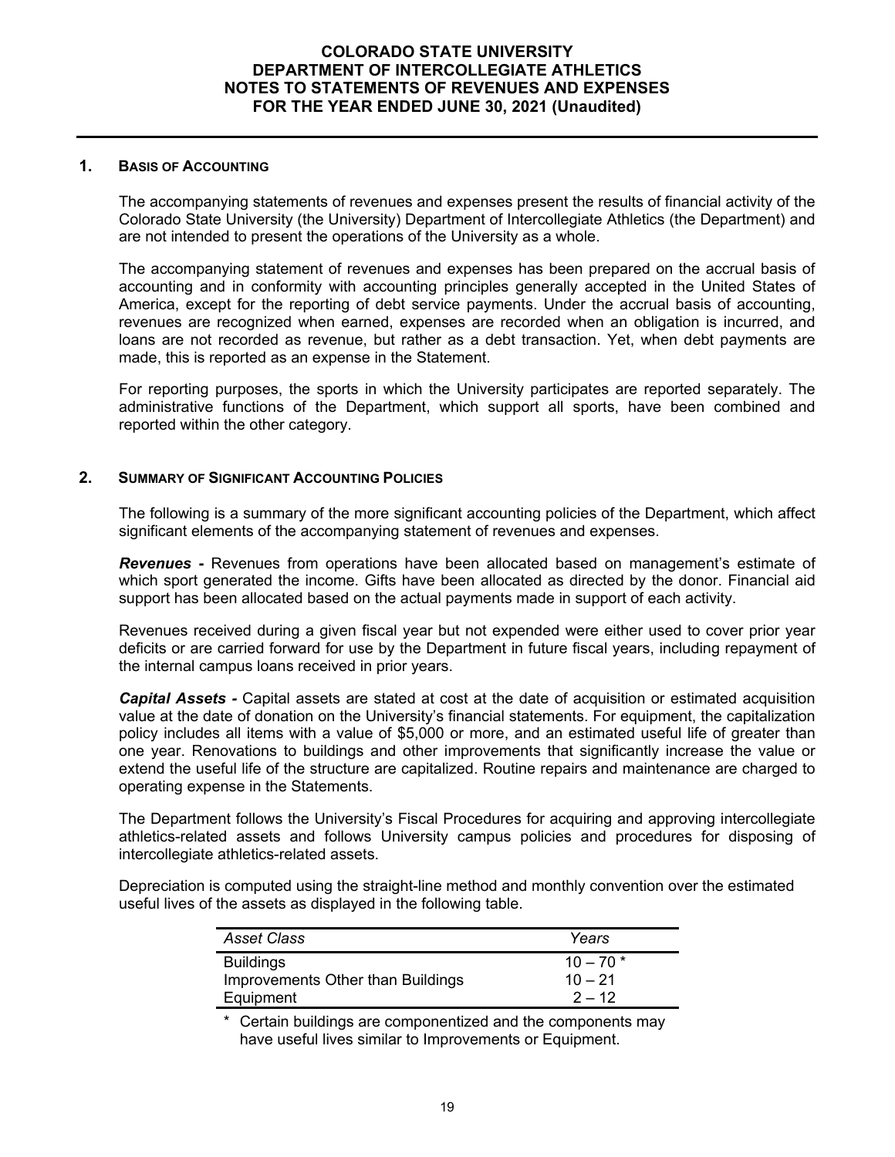#### **COLORADO STATE UNIVERSITY DEPARTMENT OF INTERCOLLEGIATE ATHLETICS NOTES TO STATEMENTS OF REVENUES AND EXPENSES FOR THE YEAR ENDED JUNE 30, 2021 (Unaudited)**

#### **1. BASIS OF ACCOUNTING**

The accompanying statements of revenues and expenses present the results of financial activity of the Colorado State University (the University) Department of Intercollegiate Athletics (the Department) and are not intended to present the operations of the University as a whole.

The accompanying statement of revenues and expenses has been prepared on the accrual basis of accounting and in conformity with accounting principles generally accepted in the United States of America, except for the reporting of debt service payments. Under the accrual basis of accounting, revenues are recognized when earned, expenses are recorded when an obligation is incurred, and loans are not recorded as revenue, but rather as a debt transaction. Yet, when debt payments are made, this is reported as an expense in the Statement.

For reporting purposes, the sports in which the University participates are reported separately. The administrative functions of the Department, which support all sports, have been combined and reported within the other category.

#### **2. SUMMARY OF SIGNIFICANT ACCOUNTING POLICIES**

The following is a summary of the more significant accounting policies of the Department, which affect significant elements of the accompanying statement of revenues and expenses.

*Revenues* **-** Revenues from operations have been allocated based on management's estimate of which sport generated the income. Gifts have been allocated as directed by the donor. Financial aid support has been allocated based on the actual payments made in support of each activity.

Revenues received during a given fiscal year but not expended were either used to cover prior year deficits or are carried forward for use by the Department in future fiscal years, including repayment of the internal campus loans received in prior years.

*Capital Assets -* Capital assets are stated at cost at the date of acquisition or estimated acquisition value at the date of donation on the University's financial statements. For equipment, the capitalization policy includes all items with a value of \$5,000 or more, and an estimated useful life of greater than one year. Renovations to buildings and other improvements that significantly increase the value or extend the useful life of the structure are capitalized. Routine repairs and maintenance are charged to operating expense in the Statements.

The Department follows the University's Fiscal Procedures for acquiring and approving intercollegiate athletics-related assets and follows University campus policies and procedures for disposing of intercollegiate athletics-related assets.

Depreciation is computed using the straight-line method and monthly convention over the estimated useful lives of the assets as displayed in the following table.

| <b>Asset Class</b>                | Years      |
|-----------------------------------|------------|
| <b>Buildings</b>                  | $10 - 70*$ |
| Improvements Other than Buildings | $10 - 21$  |
| Equipment                         | $2 - 12$   |

Certain buildings are componentized and the components may have useful lives similar to Improvements or Equipment.